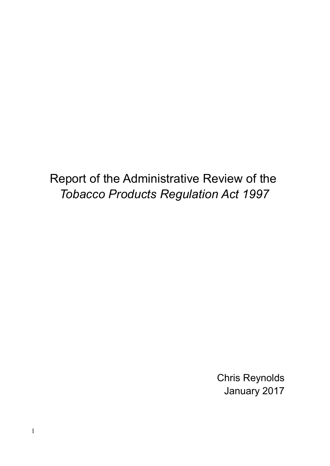Report of the Administrative Review of the Tobacco Products Regulation Act 1997

> Chris Reynolds January 2017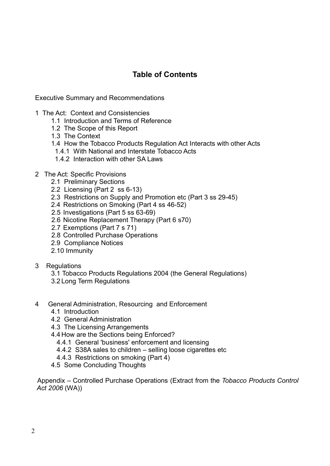# Table of Contents

Executive Summary and Recommendations

- 1 The Act: Context and Consistencies
	- 1.1 Introduction and Terms of Reference
	- 1.2 The Scope of this Report
	- 1.3 The Context
	- 1.4 How the Tobacco Products Regulation Act Interacts with other Acts
	- 1.4.1 With National and Interstate Tobacco Acts
	- 1.4.2 Interaction with other SA Laws
- 2 The Act: Specific Provisions
	- 2.1 Preliminary Sections
	- 2.2 Licensing (Part 2 ss 6-13)
	- 2.3 Restrictions on Supply and Promotion etc (Part 3 ss 29-45)
	- 2.4 Restrictions on Smoking (Part 4 ss 46-52)
	- 2.5 Investigations (Part 5 ss 63-69)
	- 2.6 Nicotine Replacement Therapy (Part 6 s70)
	- 2.7 Exemptions (Part 7 s 71)
	- 2.8 Controlled Purchase Operations
	- 2.9 Compliance Notices
	- 2.10 Immunity
- 3 Regulations
	- 3.1 Tobacco Products Regulations 2004 (the General Regulations)
	- 3.2 Long Term Regulations
- 4 General Administration, Resourcing and Enforcement
	- 4.1 Introduction
	- 4.2 General Administration
	- 4.3 The Licensing Arrangements
	- 4.4 How are the Sections being Enforced?
		- 4.4.1 General 'business' enforcement and licensing
		- 4.4.2 S38A sales to children selling loose cigarettes etc
		- 4.4.3 Restrictions on smoking (Part 4)
	- 4.5 Some Concluding Thoughts

 Appendix – Controlled Purchase Operations (Extract from the Tobacco Products Control Act 2006 (WA))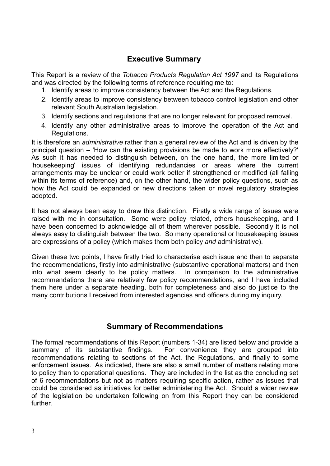## Executive Summary

This Report is a review of the Tobacco Products Regulation Act 1997 and its Regulations and was directed by the following terms of reference requiring me to:

- 1. Identify areas to improve consistency between the Act and the Regulations.
- 2. Identify areas to improve consistency between tobacco control legislation and other relevant South Australian legislation.
- 3. Identify sections and regulations that are no longer relevant for proposed removal.
- 4. Identify any other administrative areas to improve the operation of the Act and Regulations.

It is therefore an administrative rather than a general review of the Act and is driven by the principal question – 'How can the existing provisions be made to work more effectively?' As such it has needed to distinguish between, on the one hand, the more limited or 'housekeeping' issues of identifying redundancies or areas where the current arrangements may be unclear or could work better if strengthened or modified (all falling within its terms of reference) and, on the other hand, the wider policy questions, such as how the Act could be expanded or new directions taken or novel regulatory strategies adopted.

It has not always been easy to draw this distinction. Firstly a wide range of issues were raised with me in consultation. Some were policy related, others housekeeping, and I have been concerned to acknowledge all of them wherever possible. Secondly it is not always easy to distinguish between the two. So many operational or housekeeping issues are expressions of a policy (which makes them both policy and administrative).

Given these two points, I have firstly tried to characterise each issue and then to separate the recommendations, firstly into administrative (substantive operational matters) and then into what seem clearly to be policy matters. In comparison to the administrative recommendations there are relatively few policy recommendations, and I have included them here under a separate heading, both for completeness and also do justice to the many contributions I received from interested agencies and officers during my inquiry.

## Summary of Recommendations

The formal recommendations of this Report (numbers 1-34) are listed below and provide a summary of its substantive findings. For convenience they are grouped into recommendations relating to sections of the Act, the Regulations, and finally to some enforcement issues. As indicated, there are also a small number of matters relating more to policy than to operational questions. They are included in the list as the concluding set of 6 recommendations but not as matters requiring specific action, rather as issues that could be considered as initiatives for better administering the Act. Should a wider review of the legislation be undertaken following on from this Report they can be considered further.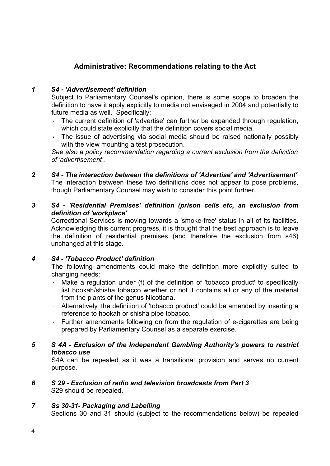## Administrative: Recommendations relating to the Act

#### 1 S4 - 'Advertisement' definition

Subject to Parliamentary Counsel's opinion, there is some scope to broaden the definition to have it apply explicitly to media not envisaged in 2004 and potentially to future media as well. Specifically:

- The current definition of 'advertise' can further be expanded through regulation, which could state explicitly that the definition covers social media.
- The issue of advertising via social media should be raised nationally possibly with the view mounting a test prosecution.

See also a policy recommendation regarding a current exclusion from the definition of 'advertisement'.

#### 2 S4 - The interaction between the definitions of 'Advertise' and 'Advertisement'

The interaction between these two definitions does not appear to pose problems, though Parliamentary Counsel may wish to consider this point further.

#### 3 S4 - 'Residential Premises' definition (prison cells etc, an exclusion from definition of 'workplace'

Correctional Services is moving towards a 'smoke-free' status in all of its facilities. Acknowledging this current progress, it is thought that the best approach is to leave the definition of residential premises (and therefore the exclusion from s46) unchanged at this stage.

### 4 S4 - 'Tobacco Product' definition

The following amendments could make the definition more explicitly suited to changing needs:

- Make a regulation under (f) of the definition of 'tobacco product' to specifically list hookah/shisha tobacco whether or not it contains all or any of the material from the plants of the genus Nicotiana.
- Alternatively, the definition of 'tobacco product' could be amended by inserting a reference to hookah or shisha pipe tobacco.
- Further amendments following on from the regulation of e-cigarettes are being prepared by Parliamentary Counsel as a separate exercise.

#### 5 S 4A - Exclusion of the Independent Gambling Authority's powers to restrict tobacco use

S4A can be repealed as it was a transitional provision and serves no current purpose.

#### 6 S 29 - Exclusion of radio and television broadcasts from Part 3 S29 should be repealed.

### 7 Ss 30-31- Packaging and Labelling

Sections 30 and 31 should (subject to the recommendations below) be repealed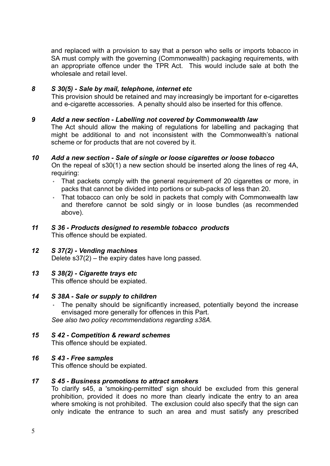and replaced with a provision to say that a person who sells or imports tobacco in SA must comply with the governing (Commonwealth) packaging requirements, with an appropriate offence under the TPR Act. This would include sale at both the wholesale and retail level

#### 8 S 30(5) - Sale by mail, telephone, internet etc

This provision should be retained and may increasingly be important for e-cigarettes and e-cigarette accessories. A penalty should also be inserted for this offence.

#### 9 Add a new section - Labelling not covered by Commonwealth law

The Act should allow the making of regulations for labelling and packaging that might be additional to and not inconsistent with the Commonwealth's national scheme or for products that are not covered by it.

#### 10 Add a new section - Sale of single or loose cigarettes or loose tobacco

On the repeal of s30(1) a new section should be inserted along the lines of reg 4A, requiring:

- That packets comply with the general requirement of 20 cigarettes or more, in packs that cannot be divided into portions or sub-packs of less than 20.
- That tobacco can only be sold in packets that comply with Commonwealth law and therefore cannot be sold singly or in loose bundles (as recommended above).

#### 11 S 36 - Products designed to resemble tobacco products This offence should be expiated.

#### 12 S 37(2) - Vending machines Delete s37(2) – the expiry dates have long passed.

#### 13 S 38(2) - Cigarette trays etc

This offence should be expiated.

#### 14 S 38A - Sale or supply to children

The penalty should be significantly increased, potentially beyond the increase envisaged more generally for offences in this Part.

See also two policy recommendations regarding s38A.

## 15 S 42 - Competition & reward schemes

This offence should be expiated.

#### 16 S 43 - Free samples

This offence should be expiated.

#### 17 S 45 - Business promotions to attract smokers

To clarify s45, a 'smoking-permitted' sign should be excluded from this general prohibition, provided it does no more than clearly indicate the entry to an area where smoking is not prohibited. The exclusion could also specify that the sign can only indicate the entrance to such an area and must satisfy any prescribed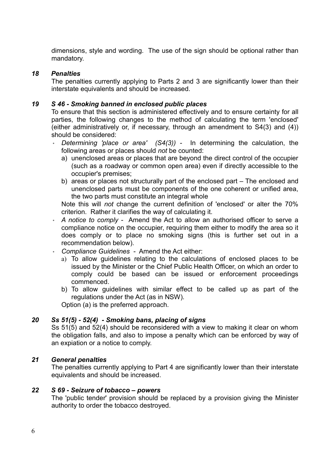dimensions, style and wording. The use of the sign should be optional rather than mandatory.

#### 18 Penalties

The penalties currently applying to Parts 2 and 3 are significantly lower than their interstate equivalents and should be increased.

#### 19 S 46 - Smoking banned in enclosed public places

To ensure that this section is administered effectively and to ensure certainty for all parties, the following changes to the method of calculating the term 'enclosed' (either administratively or, if necessary, through an amendment to S4(3) and (4)) should be considered:

- Determining 'place or area'  $(S4(3))$  In determining the calculation, the following areas or places should not be counted:
	- a) unenclosed areas or places that are beyond the direct control of the occupier (such as a roadway or common open area) even if directly accessible to the occupier's premises;
	- b) areas or places not structurally part of the enclosed part The enclosed and unenclosed parts must be components of the one coherent or unified area, the two parts must constitute an integral whole

Note this will not change the current definition of 'enclosed' or alter the 70% criterion. Rather it clarifies the way of calculating it.

- A notice to comply Amend the Act to allow an authorised officer to serve a compliance notice on the occupier, requiring them either to modify the area so it does comply or to place no smoking signs (this is further set out in a recommendation below).
- Compliance Guidelines Amend the Act either:
	- a) To allow guidelines relating to the calculations of enclosed places to be issued by the Minister or the Chief Public Health Officer, on which an order to comply could be based can be issued or enforcement proceedings commenced.
	- b) To allow guidelines with similar effect to be called up as part of the regulations under the Act (as in NSW).

Option (a) is the preferred approach.

#### 20 Ss 51(5) - 52(4) - Smoking bans, placing of signs

Ss 51(5) and 52(4) should be reconsidered with a view to making it clear on whom the obligation falls, and also to impose a penalty which can be enforced by way of an expiation or a notice to comply.

#### 21 General penalties

The penalties currently applying to Part 4 are significantly lower than their interstate equivalents and should be increased.

#### 22 S 69 - Seizure of tobacco – powers

The 'public tender' provision should be replaced by a provision giving the Minister authority to order the tobacco destroyed.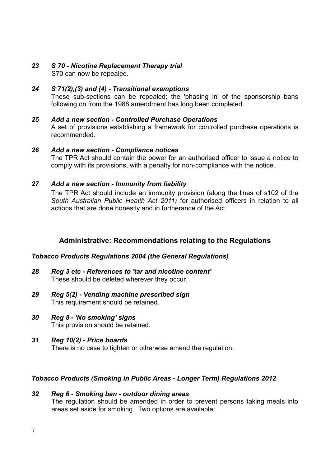# 23 S 70 - Nicotine Replacement Therapy trial

S70 can now be repealed.

## 24 S 71(2),(3) and (4) - Transitional exemptions

These sub-sections can be repealed; the 'phasing in' of the sponsorship bans following on from the 1988 amendment has long been completed.

## 25 Add a new section - Controlled Purchase Operations

A set of provisions establishing a framework for controlled purchase operations is recommended.

### 26 Add a new section - Compliance notices

The TPR Act should contain the power for an authorised officer to issue a notice to comply with its provisions, with a penalty for non-compliance with the notice.

### 27 Add a new section - Immunity from liability

The TPR Act should include an immunity provision (along the lines of s102 of the South Australian Public Health Act 2011) for authorised officers in relation to all actions that are done honestly and in furtherance of the Act.

## Administrative: Recommendations relating to the Regulations

### Tobacco Products Regulations 2004 (the General Regulations)

- 28 Reg 3 etc References to 'tar and nicotine content' These should be deleted wherever they occur.
- 29 Reg 5(2) Vending machine prescribed sign This requirement should be retained.
- 30 Reg 8 'No smoking' signs This provision should be retained.
- 31 Reg 10(2) Price boards There is no case to tighten or otherwise amend the regulation.

### Tobacco Products (Smoking in Public Areas - Longer Term) Regulations 2012

#### 32 Reg 6 - Smoking ban - outdoor dining areas The regulation should be amended in order to prevent persons taking meals into areas set aside for smoking. Two options are available: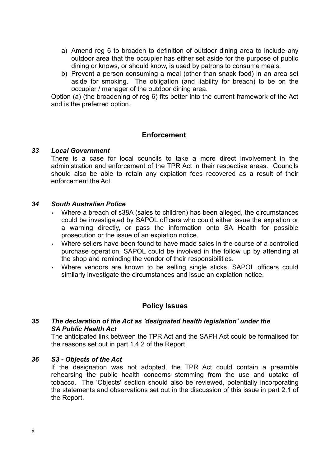- a) Amend reg 6 to broaden to definition of outdoor dining area to include any outdoor area that the occupier has either set aside for the purpose of public dining or knows, or should know, is used by patrons to consume meals.
- b) Prevent a person consuming a meal (other than snack food) in an area set aside for smoking. The obligation (and liability for breach) to be on the occupier / manager of the outdoor dining area.

Option (a) (the broadening of reg 6) fits better into the current framework of the Act and is the preferred option.

### Enforcement

#### 33 Local Government

There is a case for local councils to take a more direct involvement in the administration and enforcement of the TPR Act in their respective areas. Councils should also be able to retain any expiation fees recovered as a result of their enforcement the Act.

#### 34 South Australian Police

- Where a breach of s38A (sales to children) has been alleged, the circumstances could be investigated by SAPOL officers who could either issue the expiation or a warning directly, or pass the information onto SA Health for possible prosecution or the issue of an expiation notice.
- Where sellers have been found to have made sales in the course of a controlled purchase operation, SAPOL could be involved in the follow up by attending at the shop and reminding the vendor of their responsibilities.
- Where vendors are known to be selling single sticks. SAPOL officers could similarly investigate the circumstances and issue an expiation notice.

### Policy Issues

#### 35 The declaration of the Act as 'designated health legislation' under the SA Public Health Act

The anticipated link between the TPR Act and the SAPH Act could be formalised for the reasons set out in part 1.4.2 of the Report.

#### 36 S3 - Objects of the Act

If the designation was not adopted, the TPR Act could contain a preamble rehearsing the public health concerns stemming from the use and uptake of tobacco. The 'Objects' section should also be reviewed, potentially incorporating the statements and observations set out in the discussion of this issue in part 2.1 of the Report.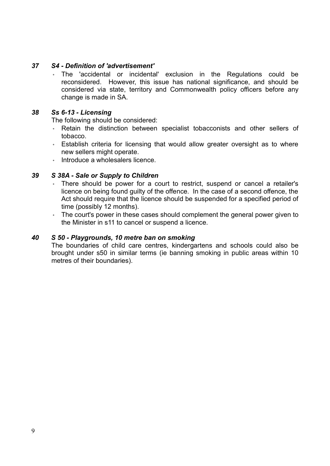#### 37 S4 - Definition of 'advertisement'

◦ The 'accidental or incidental' exclusion in the Regulations could be reconsidered. However, this issue has national significance, and should be considered via state, territory and Commonwealth policy officers before any change is made in SA.

#### 38 Ss 6-13 - Licensing

The following should be considered:

- Retain the distinction between specialist tobacconists and other sellers of tobacco.
- Establish criteria for licensing that would allow greater oversight as to where new sellers might operate.
- Introduce a wholesalers licence.

#### 39 S 38A - Sale or Supply to Children

- There should be power for a court to restrict, suspend or cancel a retailer's licence on being found guilty of the offence. In the case of a second offence, the Act should require that the licence should be suspended for a specified period of time (possibly 12 months).
- The court's power in these cases should complement the general power given to the Minister in s11 to cancel or suspend a licence.

#### 40 S 50 - Playgrounds, 10 metre ban on smoking

The boundaries of child care centres, kindergartens and schools could also be brought under s50 in similar terms (ie banning smoking in public areas within 10 metres of their boundaries).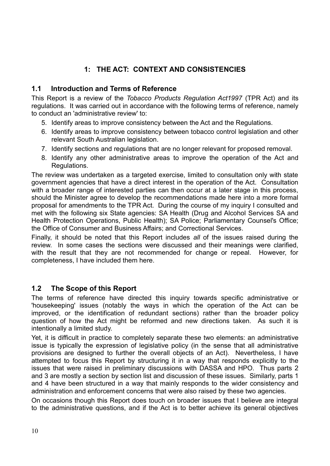# 1: THE ACT: CONTEXT AND CONSISTENCIES

### 1.1 Introduction and Terms of Reference

This Report is a review of the Tobacco Products Regulation Act1997 (TPR Act) and its regulations. It was carried out in accordance with the following terms of reference, namely to conduct an 'administrative review' to:

- 5. Identify areas to improve consistency between the Act and the Regulations.
- 6. Identify areas to improve consistency between tobacco control legislation and other relevant South Australian legislation.
- 7. Identify sections and regulations that are no longer relevant for proposed removal.
- 8. Identify any other administrative areas to improve the operation of the Act and Regulations.

The review was undertaken as a targeted exercise, limited to consultation only with state government agencies that have a direct interest in the operation of the Act. Consultation with a broader range of interested parties can then occur at a later stage in this process, should the Minister agree to develop the recommendations made here into a more formal proposal for amendments to the TPR Act. During the course of my inquiry I consulted and met with the following six State agencies: SA Health (Drug and Alcohol Services SA and Health Protection Operations, Public Health); SA Police; Parliamentary Counsel's Office; the Office of Consumer and Business Affairs; and Correctional Services.

Finally, it should be noted that this Report includes all of the issues raised during the review. In some cases the sections were discussed and their meanings were clarified, with the result that they are not recommended for change or repeal. However, for completeness, I have included them here.

## 1.2 The Scope of this Report

The terms of reference have directed this inquiry towards specific administrative or 'housekeeping' issues (notably the ways in which the operation of the Act can be improved, or the identification of redundant sections) rather than the broader policy question of how the Act might be reformed and new directions taken. As such it is intentionally a limited study.

Yet, it is difficult in practice to completely separate these two elements: an administrative issue is typically the expression of legislative policy (in the sense that all administrative provisions are designed to further the overall objects of an Act). Nevertheless, I have attempted to focus this Report by structuring it in a way that responds explicitly to the issues that were raised in preliminary discussions with DASSA and HPO. Thus parts 2 and 3 are mostly a section by section list and discussion of these issues. Similarly, parts 1 and 4 have been structured in a way that mainly responds to the wider consistency and administration and enforcement concerns that were also raised by these two agencies.

On occasions though this Report does touch on broader issues that I believe are integral to the administrative questions, and if the Act is to better achieve its general objectives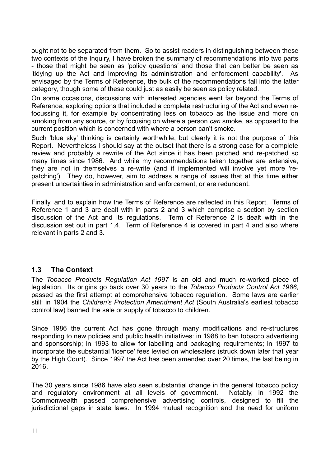ought not to be separated from them. So to assist readers in distinguishing between these two contexts of the Inquiry, I have broken the summary of recommendations into two parts - those that might be seen as 'policy questions' and those that can better be seen as 'tidying up the Act and improving its administration and enforcement capability'. As envisaged by the Terms of Reference, the bulk of the recommendations fall into the latter category, though some of these could just as easily be seen as policy related.

On some occasions, discussions with interested agencies went far beyond the Terms of Reference, exploring options that included a complete restructuring of the Act and even refocussing it, for example by concentrating less on tobacco as the issue and more on smoking from any source, or by focusing on where a person can smoke, as opposed to the current position which is concerned with where a person can't smoke.

Such 'blue sky' thinking is certainly worthwhile, but clearly it is not the purpose of this Report. Nevertheless I should say at the outset that there is a strong case for a complete review and probably a rewrite of the Act since it has been patched and re-patched so many times since 1986. And while my recommendations taken together are extensive, they are not in themselves a re-write (and if implemented will involve yet more 'repatching'). They do, however, aim to address a range of issues that at this time either present uncertainties in administration and enforcement, or are redundant.

Finally, and to explain how the Terms of Reference are reflected in this Report. Terms of Reference 1 and 3 are dealt with in parts 2 and 3 which comprise a section by section discussion of the Act and its regulations. Term of Reference 2 is dealt with in the discussion set out in part 1.4. Term of Reference 4 is covered in part 4 and also where relevant in parts 2 and 3.

## 1.3 The Context

The Tobacco Products Regulation Act 1997 is an old and much re-worked piece of legislation. Its origins go back over 30 years to the Tobacco Products Control Act 1986, passed as the first attempt at comprehensive tobacco regulation. Some laws are earlier still: in 1904 the Children's Protection Amendment Act (South Australia's earliest tobacco control law) banned the sale or supply of tobacco to children.

Since 1986 the current Act has gone through many modifications and re-structures responding to new policies and public health initiatives: in 1988 to ban tobacco advertising and sponsorship; in 1993 to allow for labelling and packaging requirements; in 1997 to incorporate the substantial 'licence' fees levied on wholesalers (struck down later that year by the High Court). Since 1997 the Act has been amended over 20 times, the last being in 2016.

The 30 years since 1986 have also seen substantial change in the general tobacco policy and regulatory environment at all levels of government. Notably, in 1992 the Commonwealth passed comprehensive advertising controls, designed to fill the jurisdictional gaps in state laws. In 1994 mutual recognition and the need for uniform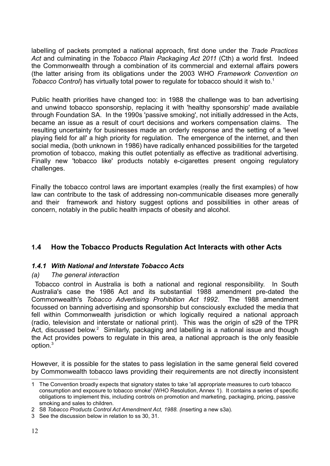labelling of packets prompted a national approach, first done under the Trade Practices Act and culminating in the Tobacco Plain Packaging Act 2011 (Cth) a world first. Indeed the Commonwealth through a combination of its commercial and external affairs powers (the latter arising from its obligations under the 2003 WHO Framework Convention on Tobacco Control) has virtually total power to regulate for tobacco should it wish to.<sup>1</sup>

Public health priorities have changed too: in 1988 the challenge was to ban advertising and unwind tobacco sponsorship, replacing it with 'healthy sponsorship' made available through Foundation SA. In the 1990s 'passive smoking', not initially addressed in the Acts, became an issue as a result of court decisions and workers compensation claims. The resulting uncertainty for businesses made an orderly response and the setting of a 'level playing field for all' a high priority for regulation. The emergence of the internet, and then social media, (both unknown in 1986) have radically enhanced possibilities for the targeted promotion of tobacco, making this outlet potentially as effective as traditional advertising. Finally new 'tobacco like' products notably e-cigarettes present ongoing regulatory challenges.

Finally the tobacco control laws are important examples (really the first examples) of how law can contribute to the task of addressing non-communicable diseases more generally and their framework and history suggest options and possibilities in other areas of concern, notably in the public health impacts of obesity and alcohol.

## <sup>1</sup>.4 How the Tobacco Products Regulation Act Interacts with other Acts

### 1.4.1 With National and Interstate Tobacco Acts

### (a) The general interaction

 Tobacco control in Australia is both a national and regional responsibility. In South Australia's case the 1986 Act and its substantial 1988 amendment pre-dated the Commonwealth's Tobacco Advertising Prohibition Act 1992. The 1988 amendment focussed on banning advertising and sponsorship but consciously excluded the media that fell within Commonwealth jurisdiction or which logically required a national approach (radio, television and interstate or national print). This was the origin of s29 of the TPR Act, discussed below.<sup>2</sup> Similarly, packaging and labelling is a national issue and though the Act provides powers to regulate in this area, a national approach is the only feasible option. $^3\,$ 

However, it is possible for the states to pass legislation in the same general field covered by Commonwealth tobacco laws providing their requirements are not directly inconsistent

<sup>1</sup> The Convention broadly expects that signatory states to take 'all appropriate measures to curb tobacco consumption and exposure to tobacco smoke' (WHO Resolution, Annex 1). It contains a series of specific obligations to implement this, including controls on promotion and marketing, packaging, pricing, passive smoking and sales to children.

<sup>2</sup> S8 Tobacco Products Control Act Amendment Act, 1988. (inserting a new s3a).

<sup>3</sup> See the discussion below in relation to ss 30, 31.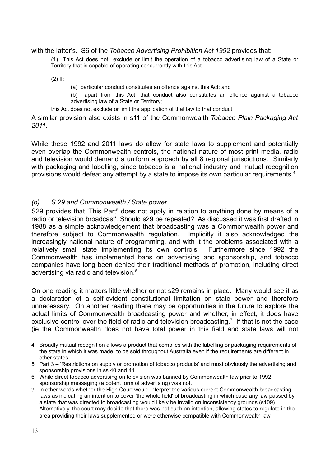#### with the latter's. S6 of the Tobacco Advertising Prohibition Act 1992 provides that:

(1) This Act does not exclude or limit the operation of a tobacco advertising law of a State or Territory that is capable of operating concurrently with this Act.

(2) If:

(a) particular conduct constitutes an offence against this Act; and

(b) apart from this Act, that conduct also constitutes an offence against a tobacco advertising law of a State or Territory;

this Act does not exclude or limit the application of that law to that conduct.

A similar provision also exists in s11 of the Commonwealth Tobacco Plain Packaging Act 2011.

While these 1992 and 2011 laws do allow for state laws to supplement and potentially even overlap the Commonwealth controls, the national nature of most print media, radio and television would demand a uniform approach by all 8 regional jurisdictions. Similarly with packaging and labelling, since tobacco is a national industry and mutual recognition provisions would defeat any attempt by a state to impose its own particular requirements.<sup>4</sup>

#### (b) S 29 and Commonwealth / State power

S29 provides that 'This Part<sup>5</sup> does not apply in relation to anything done by means of a radio or television broadcast'. Should s29 be repealed? As discussed it was first drafted in 1988 as a simple acknowledgement that broadcasting was a Commonwealth power and therefore subject to Commonwealth regulation. Implicitly it also acknowledged the increasingly national nature of programming, and with it the problems associated with a relatively small state implementing its own controls. Furthermore since 1992 the Commonwealth has implemented bans on advertising and sponsorship, and tobacco companies have long been denied their traditional methods of promotion, including direct advertising via radio and television.<sup>6</sup>

On one reading it matters little whether or not s29 remains in place. Many would see it as a declaration of a self-evident constitutional limitation on state power and therefore unnecessary. On another reading there may be opportunities in the future to explore the actual limits of Commonwealth broadcasting power and whether, in effect, it does have exclusive control over the field of radio and television broadcasting.<sup>7</sup> If that is not the case (ie the Commonwealth does not have total power in this field and state laws will not

<sup>4</sup> Broadly mutual recognition allows a product that complies with the labelling or packaging requirements of the state in which it was made, to be sold throughout Australia even if the requirements are different in other states.

<sup>5</sup> Part 3 – 'Restrictions on supply or promotion of tobacco products' and most obviously the advertising and sponsorship provisions in ss 40 and 41.

<sup>6</sup> While direct tobacco advertising on television was banned by Commonwealth law prior to 1992, sponsorship messaging (a potent form of advertising) was not.

<sup>7</sup> In other words whether the High Court would interpret the various current Commonwealth broadcasting laws as indicating an intention to cover 'the whole field' of broadcasting in which case any law passed by a state that was directed to broadcasting would likely be invalid on inconsistency grounds (s109). Alternatively, the court may decide that there was not such an intention, allowing states to regulate in the area providing their laws supplemented or were otherwise compatible with Commonwealth law.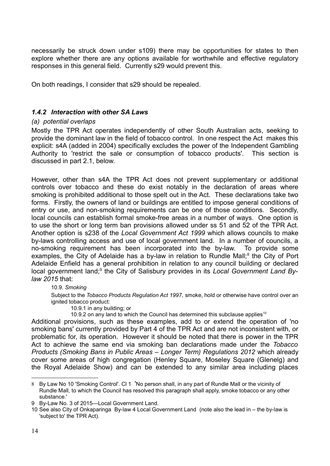necessarily be struck down under s109) there may be opportunities for states to then explore whether there are any options available for worthwhile and effective regulatory responses in this general field. Currently s29 would prevent this.

On both readings, I consider that s29 should be repealed.

#### 1.4.2 Interaction with other SA Laws

#### (a) potential overlaps

Mostly the TPR Act operates independently of other South Australian acts, seeking to provide the dominant law in the field of tobacco control. In one respect the Act makes this explicit: s4A (added in 2004) specifically excludes the power of the Independent Gambling Authority to 'restrict the sale or consumption of tobacco products'. This section is discussed in part 2.1, below.

However, other than s4A the TPR Act does not prevent supplementary or additional controls over tobacco and these do exist notably in the declaration of areas where smoking is prohibited additional to those spelt out in the Act. These declarations take two forms. Firstly, the owners of land or buildings are entitled to impose general conditions of entry or use, and non-smoking requirements can be one of those conditions. Secondly, local councils can establish formal smoke-free areas in a number of ways. One option is to use the short or long term ban provisions allowed under ss 51 and 52 of the TPR Act. Another option is s238 of the Local Government Act 1999 which allows councils to make by-laws controlling access and use of local government land. In a number of councils, a no-smoking requirement has been incorporated into the by-law. To provide some examples, the City of Adelaide has a by-law in relation to Rundle Mall;<sup>8</sup> the City of Port Adelaide Enfield has a general prohibition in relation to any council building or declared local government land;<sup>9</sup> the City of Salisbury provides in its Local Government Land Bylaw 2015 that:

#### 10.9. Smoking

Subject to the Tobacco Products Regulation Act 1997, smoke, hold or otherwise have control over an ignited tobacco product:

10.9.1 in any building; or

10.9.2 on any land to which the Council has determined this subclause applies<sup>10</sup>

Additional provisions, such as these examples, add to or extend the operation of 'no smoking bans' currently provided by Part 4 of the TPR Act and are not inconsistent with, or problematic for, its operation. However it should be noted that there is power in the TPR Act to achieve the same end via smoking ban declarations made under the Tobacco Products (Smoking Bans in Public Areas – Longer Term) Regulations 2012 which already cover some areas of high congregation (Henley Square, Moseley Square (Glenelg) and the Royal Adelaide Show) and can be extended to any similar area including places

<sup>8</sup> By Law No 10 'Smoking Control'. Cl 1 'No person shall, in any part of Rundle Mall or the vicinity of Rundle Mall, to which the Council has resolved this paragraph shall apply, smoke tobacco or any other substance.'

<sup>9</sup> By-Law No. 3 of 2015—Local Government Land.

<sup>10</sup> See also City of Onkaparinga By-law 4 Local Government Land (note also the lead in – the by-law is 'subject to' the TPR Act).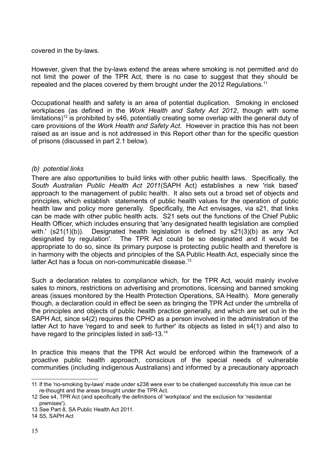#### covered in the by-laws.

However, given that the by-laws extend the areas where smoking is not permitted and do not limit the power of the TPR Act, there is no case to suggest that they should be repealed and the places covered by them brought under the 2012 Regulations.<sup>11</sup>

Occupational health and safety is an area of potential duplication. Smoking in enclosed workplaces (as defined in the Work Health and Safety Act 2012, though with some limitations)<sup>12</sup> is prohibited by s46, potentially creating some overlap with the general duty of care provisions of the Work Health and Safety Act. However in practice this has not been raised as an issue and is not addressed in this Report other than for the specific question of prisons (discussed in part 2.1 below).

#### (b) potential links

There are also opportunities to build links with other public health laws. Specifically, the South Australian Public Health Act 2011(SAPH Act) establishes a new 'risk based' approach to the management of public health. It also sets out a broad set of objects and principles, which establish statements of public health values for the operation of public health law and policy more generally. Specifically, the Act envisages, via s21, that links can be made with other public health acts. S21 sets out the functions of the Chief Public Health Officer, which includes ensuring that 'any designated health legislation are complied with.' (s21(1)(b)). Designated health legislation is defined by s21(3)(b) as any 'Act designated by regulation'. The TPR Act could be so designated and it would be appropriate to do so, since its primary purpose is protecting public health and therefore is in harmony with the objects and principles of the SA Public Health Act, especially since the latter Act has a focus on non-communicable disease.<sup>13</sup>

Such a declaration relates to *compliance* which, for the TPR Act, would mainly involve sales to minors, restrictions on advertising and promotions, licensing and banned smoking areas (issues monitored by the Health Protection Operations, SA Health). More generally though, a declaration could in effect be seen as bringing the TPR Act under the umbrella of the principles and objects of public health practice generally, and which are set out in the SAPH Act, since s4(2) requires the CPHO as a person involved in the administration of the latter Act to have 'regard to and seek to further' its objects as listed in s4(1) and also to have regard to the principles listed in ss6-13. $14$ 

In practice this means that the TPR Act would be enforced within the framework of a proactive public health approach, conscious of the special needs of vulnerable communities (including indigenous Australians) and informed by a precautionary approach

<sup>11</sup> If the 'no-smoking by-laws' made under s238 were ever to be challenged successfully this issue can be re-thought and the areas brought under the TPR Act.

<sup>12</sup> See s4, TPR Act (and specifically the definitions of 'workplace' and the exclusion for 'residential premises').

<sup>13</sup> See Part 8, SA Public Health Act 2011.

<sup>14</sup> S5, SAPH Act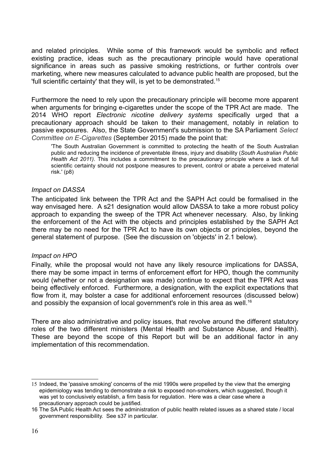and related principles. While some of this framework would be symbolic and reflect existing practice, ideas such as the precautionary principle would have operational significance in areas such as passive smoking restrictions, or further controls over marketing, where new measures calculated to advance public health are proposed, but the 'full scientific certainty' that they will, is yet to be demonstrated.<sup>15</sup>

Furthermore the need to rely upon the precautionary principle will become more apparent when arguments for bringing e-cigarettes under the scope of the TPR Act are made. The 2014 WHO report Electronic nicotine delivery systems specifically urged that a precautionary approach should be taken to their management, notably in relation to passive exposures. Also, the State Government's submission to the SA Parliament Select Committee on E-Cigarettes (September 2015) made the point that:

'The South Australian Government is committed to protecting the health of the South Australian public and reducing the incidence of preventable illness, injury and disability (South Australian Public Health Act 2011). This includes a commitment to the precautionary principle where a lack of full scientific certainty should not postpone measures to prevent, control or abate a perceived material risk.' (p8)

#### Impact on DASSA

The anticipated link between the TPR Act and the SAPH Act could be formalised in the way envisaged here. A s21 designation would allow DASSA to take a more robust policy approach to expanding the sweep of the TPR Act whenever necessary. Also, by linking the enforcement of the Act with the objects and principles established by the SAPH Act there may be no need for the TPR Act to have its own objects or principles, beyond the general statement of purpose. (See the discussion on 'objects' in 2.1 below).

#### Impact on HPO

Finally, while the proposal would not have any likely resource implications for DASSA, there may be some impact in terms of enforcement effort for HPO, though the community would (whether or not a designation was made) continue to expect that the TPR Act was being effectively enforced. Furthermore, a designation, with the explicit expectations that flow from it, may bolster a case for additional enforcement resources (discussed below) and possibly the expansion of local government's role in this area as well.<sup>16</sup>

There are also administrative and policy issues, that revolve around the different statutory roles of the two different ministers (Mental Health and Substance Abuse, and Health). These are beyond the scope of this Report but will be an additional factor in any implementation of this recommendation.

<sup>15</sup> Indeed, the 'passive smoking' concerns of the mid 1990s were propelled by the view that the emerging epidemiology was tending to demonstrate a risk to exposed non-smokers, which suggested, though it was yet to conclusively establish, a firm basis for regulation. Here was a clear case where a precautionary approach could be justified.

<sup>16</sup> The SA Public Health Act sees the administration of public health related issues as a shared state / local government responsibility. See s37 in particular.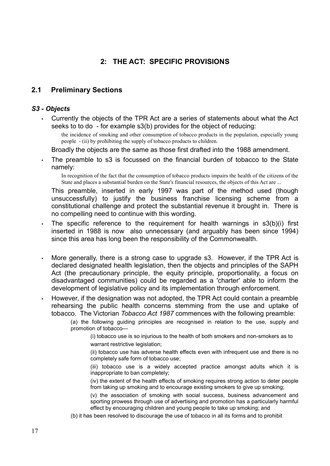## 2: THE ACT: SPECIFIC PROVISIONS

### 2.1 Preliminary Sections

#### S3 - Objects

• Currently the objects of the TPR Act are a series of statements about what the Act seeks to to do - for example s3(b) provides for the object of reducing:

the incidence of smoking and other consumption of tobacco products in the population, especially young people - (ii) by prohibiting the supply of tobacco products to children.

Broadly the objects are the same as those first drafted into the 1988 amendment.

• The preamble to s3 is focussed on the financial burden of tobacco to the State namely:

In recognition of the fact that the consumption of tobacco products impairs the health of the citizens of the State and places a substantial burden on the State's financial resources, the objects of this Act are ...

This preamble, inserted in early 1997 was part of the method used (though unsuccessfully) to justify the business franchise licensing scheme from a constitutional challenge and protect the substantial revenue it brought in. There is no compelling need to continue with this wording.

- The specific reference to the requirement for health warnings in s3(b)(i) first inserted in 1988 is now also unnecessary (and arguably has been since 1994) since this area has long been the responsibility of the Commonwealth.
- More generally, there is a strong case to upgrade s3. However, if the TPR Act is declared designated health legislation, then the objects and principles of the SAPH Act (the precautionary principle, the equity principle, proportionality, a focus on disadvantaged communities) could be regarded as a 'charter' able to inform the development of legislative policy and its implementation through enforcement.
- However, if the designation was not adopted, the TPR Act could contain a preamble rehearsing the public health concerns stemming from the use and uptake of tobacco. The Victorian Tobacco Act 1987 commences with the following preamble:

(a) the following guiding principles are recognised in relation to the use, supply and promotion of tobacco—

(i) tobacco use is so injurious to the health of both smokers and non-smokers as to warrant restrictive legislation:

(ii) tobacco use has adverse health effects even with infrequent use and there is no completely safe form of tobacco use;

(iii) tobacco use is a widely accepted practice amongst adults which it is inappropriate to ban completely;

(iv) the extent of the health effects of smoking requires strong action to deter people from taking up smoking and to encourage existing smokers to give up smoking;

(v) the association of smoking with social success, business advancement and sporting prowess through use of advertising and promotion has a particularly harmful effect by encouraging children and young people to take up smoking; and

(b) it has been resolved to discourage the use of tobacco in all its forms and to prohibit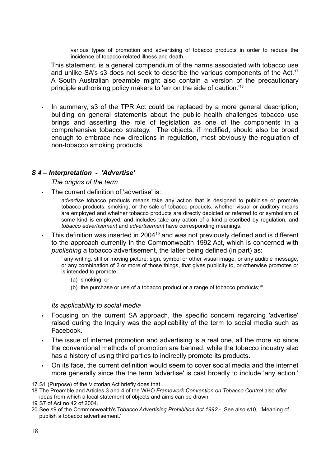various types of promotion and advertising of tobacco products in order to reduce the incidence of tobacco-related illness and death.

This statement, is a general compendium of the harms associated with tobacco use and unlike SA's s3 does not seek to describe the various components of the Act.<sup>17</sup> A South Australian preamble might also contain a version of the precautionary principle authorising policy makers to 'err on the side of caution.'<sup>18</sup>

• In summary, s3 of the TPR Act could be replaced by a more general description, building on general statements about the public health challenges tobacco use brings and asserting the role of legislation as one of the components in a comprehensive tobacco strategy. The objects, if modified, should also be broad enough to embrace new directions in regulation, most obviously the regulation of non-tobacco smoking products.

#### S 4 – Interpretation - 'Advertise'

The origins of the term

The current definition of 'advertise' is:

advertise tobacco products means take any action that is designed to publicise or promote tobacco products, smoking, or the sale of tobacco products, whether visual or auditory means are employed and whether tobacco products are directly depicted or referred to or symbolism of some kind is employed, and includes take any action of a kind prescribed by regulation, and tobacco advertisement and advertisement have corresponding meanings.

This definition was inserted in 2004<sup>19</sup> and was not previously defined and is different to the approach currently in the Commonwealth 1992 Act, which is concerned with publishing a tobacco advertisement, the latter being defined (in part) as:

' any writing, still or moving picture, sign, symbol or other visual image, or any audible message, or any combination of 2 or more of those things, that gives publicity to, or otherwise promotes or is intended to promote:

- (a) smoking; or
- (b) the purchase or use of a tobacco product or a range of tobacco products; $20$

#### Its applicability to social media

- Focusing on the current SA approach, the specific concern regarding 'advertise' raised during the Inquiry was the applicability of the term to social media such as Facebook.
- The issue of internet promotion and advertising is a real one, all the more so since the conventional methods of promotion are banned, while the tobacco industry also has a history of using third parties to indirectly promote its products.
- On its face, the current definition would seem to cover social media and the internet more generally since the the term 'advertise' is cast broadly to include 'any action.'

<sup>17</sup> S1 (Purpose) of the Victorian Act briefly does that.

<sup>18</sup> The Preamble and Articles 3 and 4 of the WHO Framework Convention on Tobacco Control also offer ideas from which a local statement of objects and aims can be drawn.

<sup>19</sup> S7 of Act no 42 of 2004.

<sup>20</sup> See s9 of the Commonwealth's Tobacco Advertising Prohibition Act 1992 - See also s10, 'Meaning of publish a tobacco advertisement.'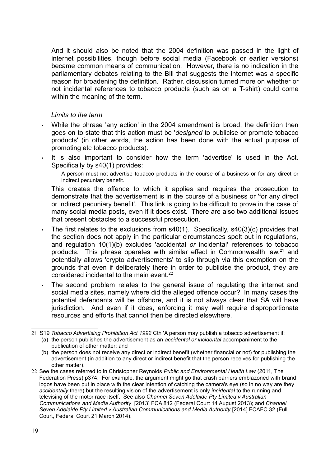And it should also be noted that the 2004 definition was passed in the light of internet possibilities, though before social media (Facebook or earlier versions) became common means of communication. However, there is no indication in the parliamentary debates relating to the Bill that suggests the internet was a specific reason for broadening the definition. Rather, discussion turned more on whether or not incidental references to tobacco products (such as on a T-shirt) could come within the meaning of the term.

#### Limits to the term

- While the phrase 'any action' in the 2004 amendment is broad, the definition then goes on to state that this action must be 'designed to publicise or promote tobacco products' (in other words, the action has been done with the actual purpose of promoting etc tobacco products).
- It is also important to consider how the term 'advertise' is used in the Act. Specifically by s40(1) provides:

A person must not advertise tobacco products in the course of a business or for any direct or indirect pecuniary benefit.

This creates the offence to which it applies and requires the prosecution to demonstrate that the advertisement is in the course of a business or 'for any direct or indirect pecuniary benefit'. This link is going to be difficult to prove in the case of many social media posts, even if it does exist. There are also two additional issues that present obstacles to a successful prosecution.

- The first relates to the exclusions from s40(1). Specifically, s40(3)(c) provides that the section does not apply in the particular circumstances spelt out in regulations, and regulation 10(1)(b) excludes 'accidental or incidental' references to tobacco products. This phrase operates with similar effect in Commonwealth law, $21$  and potentially allows 'crypto advertisements' to slip through via this exemption on the grounds that even if deliberately there in order to publicise the product, they are considered incidental to the main event. $^{22}$
- The second problem relates to the general issue of regulating the internet and social media sites, namely where did the alleged offence occur? In many cases the potential defendants will be offshore, and it is not always clear that SA will have jurisdiction. And even if it does, enforcing it may well require disproportionate resources and efforts that cannot then be directed elsewhere.

<sup>21</sup> S19 Tobacco Advertising Prohibition Act 1992 Cth 'A person may publish a tobacco advertisement if:

<sup>(</sup>a) the person publishes the advertisement as an accidental or incidental accompaniment to the publication of other matter; and

<sup>(</sup>b) the person does not receive any direct or indirect benefit (whether financial or not) for publishing the advertisement (in addition to any direct or indirect benefit that the person receives for publishing the other matter).

<sup>22</sup> See the cases referred to in Christopher Reynolds Public and Environmental Health Law (2011, The Federation Press) p374. For example, the argument might go that crash barriers emblazoned with brand logos have been put in place with the clear intention of catching the camera's eye (so in no way are they accidentally there) but the resulting vision of the advertisement is only *incidental* to the running and televising of the motor race itself. See also Channel Seven Adelaide Pty Limited v Australian Communications and Media Authority [2013] FCA 812 (Federal Court 14 August 2013); and Channel Seven Adelaide Pty Limited v Australian Communications and Media Authority [2014] FCAFC 32 (Full Court, Federal Court 21 March 2014).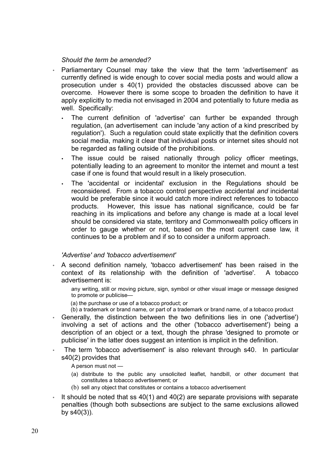#### Should the term be amended?

- Parliamentary Counsel may take the view that the term 'advertisement' as currently defined is wide enough to cover social media posts and would allow a prosecution under s 40(1) provided the obstacles discussed above can be overcome. However there is some scope to broaden the definition to have it apply explicitly to media not envisaged in 2004 and potentially to future media as well. Specifically:
	- The current definition of 'advertise' can further be expanded through regulation, (an advertisement can include 'any action of a kind prescribed by regulation'). Such a regulation could state explicitly that the definition covers social media, making it clear that individual posts or internet sites should not be regarded as falling outside of the prohibitions.
	- The issue could be raised nationally through policy officer meetings, potentially leading to an agreement to monitor the internet and mount a test case if one is found that would result in a likely prosecution.
	- The 'accidental or incidental' exclusion in the Regulations should be reconsidered. From a tobacco control perspective accidental and incidental would be preferable since it would catch more indirect references to tobacco products. However, this issue has national significance, could be far reaching in its implications and before any change is made at a local level should be considered via state, territory and Commonwealth policy officers in order to gauge whether or not, based on the most current case law, it continues to be a problem and if so to consider a uniform approach.

#### 'Advertise' and 'tobacco advertisement'

A second definition namely, 'tobacco advertisement' has been raised in the context of its relationship with the definition of 'advertise'. A tobacco advertisement is:

any writing, still or moving picture, sign, symbol or other visual image or message designed to promote or publicise—

- (a) the purchase or use of a tobacco product; or
- (b) a trademark or brand name, or part of a trademark or brand name, of a tobacco product
- Generally, the distinction between the two definitions lies in one ('advertise') involving a set of actions and the other ('tobacco advertisement') being a description of an object or a text, though the phrase 'designed to promote or publicise' in the latter does suggest an intention is implicit in the definition.
- The term 'tobacco advertisement' is also relevant through s40. In particular s40(2) provides that
	- A person must not —
	- (a) distribute to the public any unsolicited leaflet, handbill, or other document that constitutes a tobacco advertisement; or
	- (b) sell any object that constitutes or contains a tobacco advertisement
- It should be noted that ss  $40(1)$  and  $40(2)$  are separate provisions with separate penalties (though both subsections are subject to the same exclusions allowed by  $s40(3)$ ).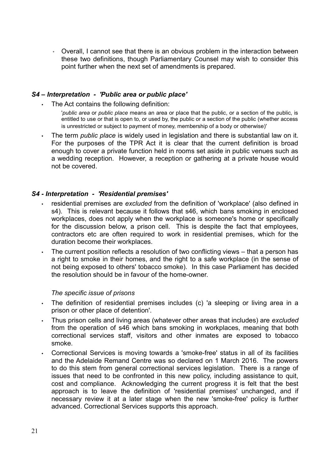◦ Overall, I cannot see that there is an obvious problem in the interaction between these two definitions, though Parliamentary Counsel may wish to consider this point further when the next set of amendments is prepared.

#### S4 – Interpretation - 'Public area or public place'

The Act contains the following definition:

'public area or public place means an area or place that the public, or a section of the public, is entitled to use or that is open to, or used by, the public or a section of the public (whether access is unrestricted or subject to payment of money, membership of a body or otherwise)'

The term *public place* is widely used in legislation and there is substantial law on it. For the purposes of the TPR Act it is clear that the current definition is broad enough to cover a private function held in rooms set aside in public venues such as a wedding reception. However, a reception or gathering at a private house would not be covered.

#### S4 - Interpretation - 'Residential premises'

- residential premises are excluded from the definition of 'workplace' (also defined in s4). This is relevant because it follows that s46, which bans smoking in enclosed workplaces, does not apply when the workplace is someone's home or specifically for the discussion below, a prison cell. This is despite the fact that employees, contractors etc are often required to work in residential premises, which for the duration become their workplaces.
- The current position reflects a resolution of two conflicting views that a person has a right to smoke in their homes, and the right to a safe workplace (in the sense of not being exposed to others' tobacco smoke). In this case Parliament has decided the resolution should be in favour of the home-owner.

#### The specific issue of prisons

- The definition of residential premises includes (c) 'a sleeping or living area in a prison or other place of detention'.
- Thus prison cells and living areas (whatever other areas that includes) are excluded from the operation of s46 which bans smoking in workplaces, meaning that both correctional services staff, visitors and other inmates are exposed to tobacco smoke.
- Correctional Services is moving towards a 'smoke-free' status in all of its facilities and the Adelaide Remand Centre was so declared on 1 March 2016. The powers to do this stem from general correctional services legislation. There is a range of issues that need to be confronted in this new policy, including assistance to quit, cost and compliance. Acknowledging the current progress it is felt that the best approach is to leave the definition of 'residential premises' unchanged, and if necessary review it at a later stage when the new 'smoke-free' policy is further advanced. Correctional Services supports this approach.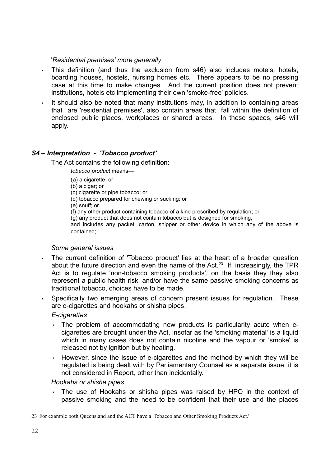#### 'Residential premises' more generally

- This definition (and thus the exclusion from s46) also includes motels, hotels, boarding houses, hostels, nursing homes etc. There appears to be no pressing case at this time to make changes. And the current position does not prevent institutions, hotels etc implementing their own 'smoke-free' policies.
- It should also be noted that many institutions may, in addition to containing areas that are 'residential premises', also contain areas that fall within the definition of enclosed public places, workplaces or shared areas. In these spaces, s46 will apply.

### S4 – Interpretation - 'Tobacco product'

The Act contains the following definition:

tobacco product means—

- (a) a cigarette; or
- (b) a cigar; or
- (c) cigarette or pipe tobacco; or
- (d) tobacco prepared for chewing or sucking; or
- (e) snuff; or
- (f) any other product containing tobacco of a kind prescribed by regulation; or

(g) any product that does not contain tobacco but is designed for smoking,

and includes any packet, carton, shipper or other device in which any of the above is contained;

#### Some general issues

- The current definition of 'Tobacco product' lies at the heart of a broader question about the future direction and even the name of the Act.<sup>23</sup> If, increasingly, the TPR Act is to regulate 'non-tobacco smoking products', on the basis they they also represent a public health risk, and/or have the same passive smoking concerns as traditional tobacco, choices have to be made.
- Specifically two emerging areas of concern present issues for regulation. These are e-cigarettes and hookahs or shisha pipes.

### E-cigarettes

- The problem of accommodating new products is particularity acute when ecigarettes are brought under the Act, insofar as the 'smoking material' is a liquid which in many cases does not contain nicotine and the vapour or 'smoke' is released not by ignition but by heating.
- However, since the issue of e-cigarettes and the method by which they will be regulated is being dealt with by Parliamentary Counsel as a separate issue, it is not considered in Report, other than incidentally.

Hookahs or shisha pipes

The use of Hookahs or shisha pipes was raised by HPO in the context of passive smoking and the need to be confident that their use and the places

<sup>23</sup> For example both Queensland and the ACT have a 'Tobacco and Other Smoking Products Act.'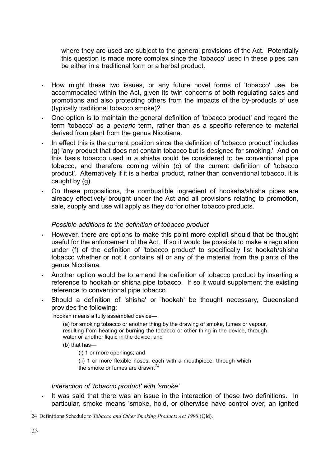where they are used are subject to the general provisions of the Act. Potentially this question is made more complex since the 'tobacco' used in these pipes can be either in a traditional form or a herbal product.

- How might these two issues, or any future novel forms of 'tobacco' use, be accommodated within the Act, given its twin concerns of both regulating sales and promotions and also protecting others from the impacts of the by-products of use (typically traditional tobacco smoke)?
- One option is to maintain the general definition of 'tobacco product' and regard the term 'tobacco' as a generic term, rather than as a specific reference to material derived from plant from the genus Nicotiana.
- In effect this is the current position since the definition of 'tobacco product' includes (g) 'any product that does not contain tobacco but is designed for smoking.' And on this basis tobacco used in a shisha could be considered to be conventional pipe tobacco, and therefore coming within (c) of the current definition of 'tobacco product'. Alternatively if it is a herbal product, rather than conventional tobacco, it is caught by (g).
- On these propositions, the combustible ingredient of hookahs/shisha pipes are already effectively brought under the Act and all provisions relating to promotion, sale, supply and use will apply as they do for other tobacco products.

#### Possible additions to the definition of tobacco product

- However, there are options to make this point more explicit should that be thought useful for the enforcement of the Act. If so it would be possible to make a regulation under (f) of the definition of 'tobacco product' to specifically list hookah/shisha tobacco whether or not it contains all or any of the material from the plants of the genus Nicotiana.
- Another option would be to amend the definition of tobacco product by inserting a reference to hookah or shisha pipe tobacco. If so it would supplement the existing reference to conventional pipe tobacco.
- Should a definition of 'shisha' or 'hookah' be thought necessary, Queensland provides the following:

hookah means a fully assembled device—

(a) for smoking tobacco or another thing by the drawing of smoke, fumes or vapour, resulting from heating or burning the tobacco or other thing in the device, through water or another liquid in the device: and

(b) that has—

(i) 1 or more openings; and

(ii) 1 or more flexible hoses, each with a mouthpiece, through which

the smoke or fumes are drawn. 24

#### Interaction of 'tobacco product' with 'smoke'

It was said that there was an issue in the interaction of these two definitions. In particular, smoke means 'smoke, hold, or otherwise have control over, an ignited

<sup>24</sup> Definitions Schedule to Tobacco and Other Smoking Products Act 1998 (Qld).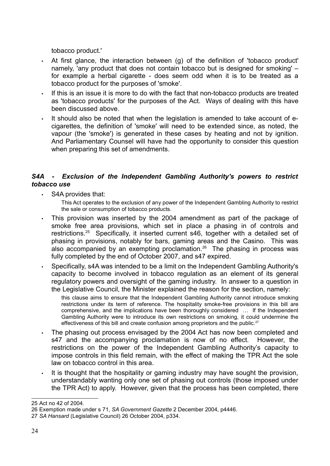tobacco product.'

- At first glance, the interaction between (g) of the definition of 'tobacco product' namely, 'any product that does not contain tobacco but is designed for smoking' – for example a herbal cigarette - does seem odd when it is to be treated as a tobacco product for the purposes of 'smoke'.
- If this is an issue it is more to do with the fact that non-tobacco products are treated as 'tobacco products' for the purposes of the Act. Ways of dealing with this have been discussed above.
- It should also be noted that when the legislation is amended to take account of ecigarettes, the definition of 'smoke' will need to be extended since, as noted, the vapour (the 'smoke') is generated in these cases by heating and not by ignition. And Parliamentary Counsel will have had the opportunity to consider this question when preparing this set of amendments.

### S4A - Exclusion of the Independent Gambling Authority's powers to restrict tobacco use

• S4A provides that:

This Act operates to the exclusion of any power of the Independent Gambling Authority to restrict the sale or consumption of tobacco products.

- This provision was inserted by the 2004 amendment as part of the package of smoke free area provisions, which set in place a phasing in of controls and restrictions.<sup>25</sup> Specifically, it inserted current s46, together with a detailed set of phasing in provisions, notably for bars, gaming areas and the Casino. This was also accompanied by an exempting proclamation.<sup>26</sup> The phasing in process was fully completed by the end of October 2007, and s47 expired.
- Specifically, s4A was intended to be a limit on the Independent Gambling Authority's capacity to become involved in tobacco regulation as an element of its general regulatory powers and oversight of the gaming industry. In answer to a question in the Legislative Council, the Minister explained the reason for the section, namely:

this clause aims to ensure that the Independent Gambling Authority cannot introduce smoking restrictions under its term of reference. The hospitality smoke-free provisions in this bill are comprehensive, and the implications have been thoroughly considered … If the Independent Gambling Authority were to introduce its own restrictions on smoking, it could undermine the effectiveness of this bill and create confusion among proprietors and the public.<sup>27</sup>

- The phasing out process envisaged by the 2004 Act has now been completed and s47 and the accompanying proclamation is now of no effect. However, the restrictions on the power of the Independent Gambling Authority's capacity to impose controls in this field remain, with the effect of making the TPR Act the sole law on tobacco control in this area.
- It is thought that the hospitality or gaming industry may have sought the provision, understandably wanting only one set of phasing out controls (those imposed under the TPR Act) to apply. However, given that the process has been completed, there

<sup>25</sup> Act no 42 of 2004.

<sup>26</sup> Exemption made under s 71, SA Government Gazette 2 December 2004, p4446.

<sup>27</sup> SA Hansard (Legislative Council) 26 October 2004, p334.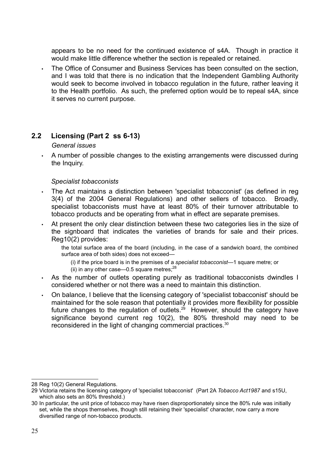appears to be no need for the continued existence of s4A. Though in practice it would make little difference whether the section is repealed or retained.

• The Office of Consumer and Business Services has been consulted on the section, and I was told that there is no indication that the Independent Gambling Authority would seek to become involved in tobacco regulation in the future, rather leaving it to the Health portfolio. As such, the preferred option would be to repeal s4A, since it serves no current purpose.

### 2.2 Licensing (Part 2 ss 6-13)

#### General issues

• A number of possible changes to the existing arrangements were discussed during the Inquiry.

#### Specialist tobacconists

- The Act maintains a distinction between 'specialist tobacconist' (as defined in reg 3(4) of the 2004 General Regulations) and other sellers of tobacco. Broadly, specialist tobacconists must have at least 80% of their turnover attributable to tobacco products and be operating from what in effect are separate premises.
- At present the only clear distinction between these two categories lies in the size of the signboard that indicates the varieties of brands for sale and their prices. Reg10(2) provides:

the total surface area of the board (including, in the case of a sandwich board, the combined surface area of both sides) does not exceed—

- (i) if the price board is in the premises of a specialist tobacconist—1 square metre; or
- (ii) in any other case—0.5 square metres; $^{28}$
- As the number of outlets operating purely as traditional tobacconists dwindles I considered whether or not there was a need to maintain this distinction.
- On balance, I believe that the licensing category of 'specialist tobacconist' should be maintained for the sole reason that potentially it provides more flexibility for possible future changes to the regulation of outlets.<sup>29</sup> However, should the category have significance beyond current reg 10(2), the 80% threshold may need to be reconsidered in the light of changing commercial practices.<sup>30</sup>

<sup>28</sup> Reg 10(2) General Regulations.

<sup>29</sup> Victoria retains the licensing category of 'specialist tobacconist' (Part 2A Tobacco Act1987 and s15U, which also sets an 80% threshold.)

<sup>30</sup> In particular, the unit price of tobacco may have risen disproportionately since the 80% rule was initially set, while the shops themselves, though still retaining their 'specialist' character, now carry a more diversified range of non-tobacco products.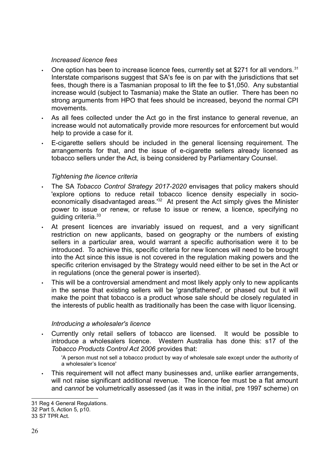#### Increased licence fees

- One option has been to increase licence fees, currently set at \$271 for all vendors.<sup>31</sup> Interstate comparisons suggest that SA's fee is on par with the jurisdictions that set fees, though there is a Tasmanian proposal to lift the fee to \$1,050. Any substantial increase would (subject to Tasmania) make the State an outlier. There has been no strong arguments from HPO that fees should be increased, beyond the normal CPI movements.
- As all fees collected under the Act go in the first instance to general revenue, an increase would not automatically provide more resources for enforcement but would help to provide a case for it.
- E-cigarette sellers should be included in the general licensing requirement. The arrangements for that, and the issue of e-cigarette sellers already licensed as tobacco sellers under the Act, is being considered by Parliamentary Counsel.

### Tightening the licence criteria

- The SA Tobacco Control Strategy 2017-2020 envisages that policy makers should 'explore options to reduce retail tobacco licence density especially in socioeconomically disadvantaged areas.<sup>132</sup> At present the Act simply gives the Minister power to issue or renew, or refuse to issue or renew, a licence, specifying no guiding criteria.<sup>33</sup>
- At present licences are invariably issued on request, and a very significant restriction on new applicants, based on geography or the numbers of existing sellers in a particular area, would warrant a specific authorisation were it to be introduced. To achieve this, specific criteria for new licences will need to be brought into the Act since this issue is not covered in the regulation making powers and the specific criterion envisaged by the Strategy would need either to be set in the Act or in regulations (once the general power is inserted).
- This will be a controversial amendment and most likely apply only to new applicants in the sense that existing sellers will be 'grandfathered', or phased out but it will make the point that tobacco is a product whose sale should be closely regulated in the interests of public health as traditionally has been the case with liquor licensing.

#### Introducing a wholesaler's licence

- Currently only retail sellers of tobacco are licensed. It would be possible to introduce a wholesalers licence. Western Australia has done this: s17 of the Tobacco Products Control Act 2006 provides that:
	- 'A person must not sell a tobacco product by way of wholesale sale except under the authority of a wholesaler's licence'
- This requirement will not affect many businesses and, unlike earlier arrangements, will not raise significant additional revenue. The licence fee must be a flat amount and cannot be volumetrically assessed (as it was in the initial, pre 1997 scheme) on

<sup>31</sup> Reg 4 General Regulations.

<sup>32</sup> Part 5, Action 5, p10.

<sup>33</sup> S7 TPR Act.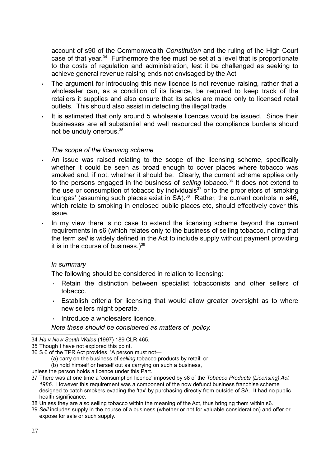account of s90 of the Commonwealth Constitution and the ruling of the High Court case of that year. $34$  Furthermore the fee must be set at a level that is proportionate to the costs of regulation and administration, lest it be challenged as seeking to achieve general revenue raising ends not envisaged by the Act

- The argument for introducing this new licence is not revenue raising, rather that a wholesaler can, as a condition of its licence, be required to keep track of the retailers it supplies and also ensure that its sales are made only to licensed retail outlets. This should also assist in detecting the illegal trade.
- It is estimated that only around 5 wholesale licences would be issued. Since their businesses are all substantial and well resourced the compliance burdens should not be unduly onerous.<sup>35</sup>

#### The scope of the licensing scheme

- An issue was raised relating to the scope of the licensing scheme, specifically whether it could be seen as broad enough to cover places where tobacco was smoked and, if not, whether it should be. Clearly, the current scheme applies only to the persons engaged in the business of selling tobacco.<sup>36</sup> It does not extend to the use or consumption of tobacco by individuals $37$  or to the proprietors of 'smoking lounges' (assuming such places exist in SA).<sup>38</sup> Rather, the current controls in s46, which relate to smoking in enclosed public places etc, should effectively cover this issue.
- In my view there is no case to extend the licensing scheme beyond the current requirements in s6 (which relates only to the business of selling tobacco, noting that the term sell is widely defined in the Act to include supply without payment providing it is in the course of business.) $39$

#### In summary

The following should be considered in relation to licensing:

- Retain the distinction between specialist tobacconists and other sellers of tobacco.
- Establish criteria for licensing that would allow greater oversight as to where new sellers might operate.
- Introduce a wholesalers licence.

#### Note these should be considered as matters of policy.

- (a) carry on the business of selling tobacco products by retail; or
- (b) hold himself or herself out as carrying on such a business,

unless the person holds a licence under this Part.'

- 37 There was at one time a 'consumption licence' imposed by s8 of the Tobacco Products (Licensing) Act 1986. However this requirement was a component of the now defunct business franchise scheme designed to catch smokers evading the 'tax' by purchasing directly from outside of SA. It had no public health significance.
- 38 Unless they are also selling tobacco within the meaning of the Act, thus bringing them within s6.
- 39 Sell includes supply in the course of a business (whether or not for valuable consideration) and offer or expose for sale or such supply.

<sup>34</sup> Ha v New South Wales (1997) 189 CLR 465.

<sup>35</sup> Though I have not explored this point.

<sup>36</sup> S 6 of the TPR Act provides 'A person must not—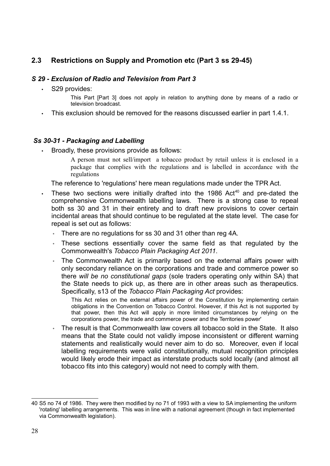## 2.3 Restrictions on Supply and Promotion etc (Part 3 ss 29-45)

### S 29 - Exclusion of Radio and Television from Part 3

S29 provides:

This Part [Part 3] does not apply in relation to anything done by means of a radio or television broadcast.

This exclusion should be removed for the reasons discussed earlier in part 1.4.1.

#### Ss 30-31 - Packaging and Labelling

• Broadly, these provisions provide as follows:

A person must not sell/import a tobacco product by retail unless it is enclosed in a package that complies with the regulations and is labelled in accordance with the regulations

The reference to 'regulations' here mean regulations made under the TPR Act.

- $\cdot$  These two sections were initially drafted into the 1986 Act<sup>40</sup> and pre-dated the comprehensive Commonwealth labelling laws. There is a strong case to repeal both ss 30 and 31 in their entirety and to draft new provisions to cover certain incidental areas that should continue to be regulated at the state level. The case for repeal is set out as follows:
	- There are no regulations for ss 30 and 31 other than reg 4A.
	- These sections essentially cover the same field as that regulated by the Commonwealth's Tobacco Plain Packaging Act 2011.
	- The Commonwealth Act is primarily based on the external affairs power with only secondary reliance on the corporations and trade and commerce power so there will be no constitutional gaps (sole traders operating only within SA) that the State needs to pick up, as there are in other areas such as therapeutics. Specifically, s13 of the Tobacco Plain Packaging Act provides:

This Act relies on the external affairs power of the Constitution by implementing certain obligations in the Convention on Tobacco Control. However, if this Act is not supported by that power, then this Act will apply in more limited circumstances by relying on the corporations power, the trade and commerce power and the Territories power'

The result is that Commonwealth law covers all tobacco sold in the State. It also means that the State could not validly impose inconsistent or different warning statements and realistically would never aim to do so. Moreover, even if local labelling requirements were valid constitutionally, mutual recognition principles would likely erode their impact as interstate products sold locally (and almost all tobacco fits into this category) would not need to comply with them.

<sup>40</sup> S5 no 74 of 1986. They were then modified by no 71 of 1993 with a view to SA implementing the uniform 'rotating' labelling arrangements. This was in line with a national agreement (though in fact implemented via Commonwealth legislation).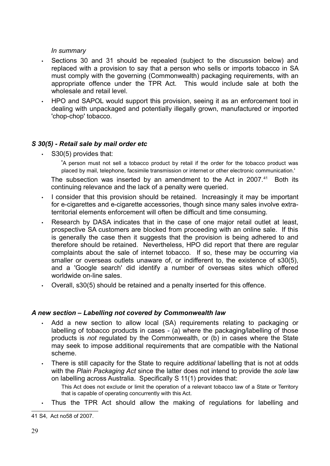#### In summary

- Sections 30 and 31 should be repealed (subject to the discussion below) and replaced with a provision to say that a person who sells or imports tobacco in SA must comply with the governing (Commonwealth) packaging requirements, with an appropriate offence under the TPR Act. This would include sale at both the wholesale and retail level.
- HPO and SAPOL would support this provision, seeing it as an enforcement tool in dealing with unpackaged and potentially illegally grown, manufactured or imported 'chop-chop' tobacco.

### S 30(5) - Retail sale by mail order etc

S30(5) provides that:

'A person must not sell a tobacco product by retail if the order for the tobacco product was placed by mail, telephone, facsimile transmission or internet or other electronic communication.'

The subsection was inserted by an amendment to the Act in 2007. $41$  Both its continuing relevance and the lack of a penalty were queried.

- I consider that this provision should be retained. Increasingly it may be important for e-cigarettes and e-cigarette accessories, though since many sales involve extraterritorial elements enforcement will often be difficult and time consuming.
- Research by DASA indicates that in the case of one major retail outlet at least, prospective SA customers are blocked from proceeding with an online sale. If this is generally the case then it suggests that the provision is being adhered to and therefore should be retained. Nevertheless, HPO did report that there are regular complaints about the sale of internet tobacco. If so, these may be occurring via smaller or overseas outlets unaware of, or indifferent to, the existence of s30(5), and a 'Google search' did identify a number of overseas sites which offered worldwide on-line sales.
- Overall, s30(5) should be retained and a penalty inserted for this offence.

### A new section – Labelling not covered by Commonwealth law

- Add a new section to allow local (SA) requirements relating to packaging or labelling of tobacco products in cases - (a) where the packaging/labelling of those products is not regulated by the Commonwealth, or (b) in cases where the State may seek to impose additional requirements that are compatible with the National scheme.
- There is still capacity for the State to require additional labelling that is not at odds with the Plain Packaging Act since the latter does not intend to provide the sole law on labelling across Australia. Specifically S 11(1) provides that:
	- This Act does not exclude or limit the operation of a relevant tobacco law of a State or Territory that is capable of operating concurrently with this Act.
- Thus the TPR Act should allow the making of regulations for labelling and

<sup>41</sup> S4, Act no58 of 2007.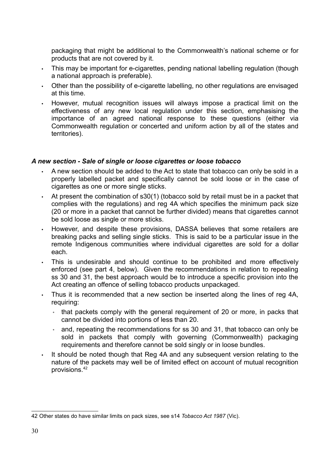packaging that might be additional to the Commonwealth's national scheme or for products that are not covered by it.

- This may be important for e-cigarettes, pending national labelling regulation (though a national approach is preferable).
- Other than the possibility of e-cigarette labelling, no other regulations are envisaged at this time.
- However, mutual recognition issues will always impose a practical limit on the effectiveness of any new local regulation under this section, emphasising the importance of an agreed national response to these questions (either via Commonwealth regulation or concerted and uniform action by all of the states and territories).

#### A new section - Sale of single or loose cigarettes or loose tobacco

- A new section should be added to the Act to state that tobacco can only be sold in a properly labelled packet and specifically cannot be sold loose or in the case of cigarettes as one or more single sticks.
- At present the combination of  $s30(1)$  (tobacco sold by retail must be in a packet that complies with the regulations) and reg 4A which specifies the minimum pack size (20 or more in a packet that cannot be further divided) means that cigarettes cannot be sold loose as single or more sticks.
- However, and despite these provisions, DASSA believes that some retailers are breaking packs and selling single sticks. This is said to be a particular issue in the remote Indigenous communities where individual cigarettes are sold for a dollar each.
- This is undesirable and should continue to be prohibited and more effectively enforced (see part 4, below). Given the recommendations in relation to repealing ss 30 and 31, the best approach would be to introduce a specific provision into the Act creating an offence of selling tobacco products unpackaged.
- Thus it is recommended that a new section be inserted along the lines of reg 4A, requiring:
	- that packets comply with the general requirement of 20 or more, in packs that cannot be divided into portions of less than 20.
	- and, repeating the recommendations for ss 30 and 31, that tobacco can only be sold in packets that comply with governing (Commonwealth) packaging requirements and therefore cannot be sold singly or in loose bundles.
- It should be noted though that Reg 4A and any subsequent version relating to the nature of the packets may well be of limited effect on account of mutual recognition provisions.<sup>42</sup>

<sup>42</sup> Other states do have similar limits on pack sizes, see s14 Tobacco Act 1987 (Vic).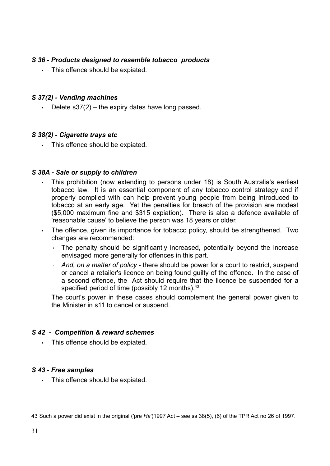### S 36 - Products designed to resemble tobacco products

This offence should be expiated.

#### S 37(2) - Vending machines

• Delete s37(2) – the expiry dates have long passed.

#### S 38(2) - Cigarette trays etc

• This offence should be expiated.

#### S 38A - Sale or supply to children

- This prohibition (now extending to persons under 18) is South Australia's earliest tobacco law. It is an essential component of any tobacco control strategy and if properly complied with can help prevent young people from being introduced to tobacco at an early age. Yet the penalties for breach of the provision are modest (\$5,000 maximum fine and \$315 expiation). There is also a defence available of 'reasonable cause' to believe the person was 18 years or older.
- The offence, given its importance for tobacco policy, should be strengthened. Two changes are recommended:
	- The penalty should be significantly increased, potentially beyond the increase envisaged more generally for offences in this part.
	- And, on a matter of policy there should be power for a court to restrict, suspend or cancel a retailer's licence on being found guilty of the offence. In the case of a second offence, the Act should require that the licence be suspended for a specified period of time (possibly 12 months). $43$

The court's power in these cases should complement the general power given to the Minister in s11 to cancel or suspend.

### S 42 - Competition & reward schemes

• This offence should be expiated.

### S 43 - Free samples

• This offence should be expiated.

<sup>43</sup> Such a power did exist in the original ('pre Ha')1997 Act – see ss 38(5), (6) of the TPR Act no 26 of 1997.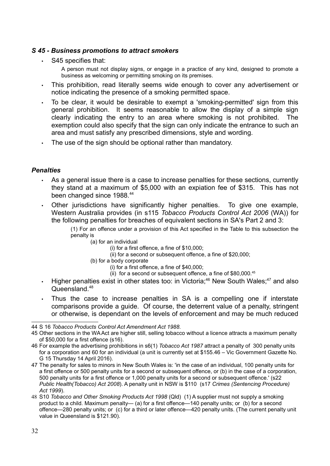#### S 45 - Business promotions to attract smokers

S45 specifies that:

A person must not display signs, or engage in a practice of any kind, designed to promote a business as welcoming or permitting smoking on its premises.

- This prohibition, read literally seems wide enough to cover any advertisement or notice indicating the presence of a smoking permitted space.
- To be clear, it would be desirable to exempt a 'smoking-permitted' sign from this general prohibition. It seems reasonable to allow the display of a simple sign clearly indicating the entry to an area where smoking is not prohibited. The exemption could also specify that the sign can only indicate the entrance to such an area and must satisfy any prescribed dimensions, style and wording.
- The use of the sign should be optional rather than mandatory.

#### **Penalties**

- As a general issue there is a case to increase penalties for these sections, currently they stand at a maximum of \$5,000 with an expiation fee of \$315. This has not been changed since 1988.<sup>44</sup>
- Other jurisdictions have significantly higher penalties. To give one example, Western Australia provides (in s115 Tobacco Products Control Act 2006 (WA)) for the following penalties for breaches of equivalent sections in SA's Part 2 and 3:
	- (1) For an offence under a provision of this Act specified in the Table to this subsection the penalty is
		- (a) for an individual
			- (i) for a first offence, a fine of \$10,000;
			- (ii) for a second or subsequent offence, a fine of \$20,000;
		- (b) for a body corporate
			- (i) for a first offence, a fine of \$40,000;
			- (ii) for a second or subsequent offence, a fine of  $$80,000.<sup>45</sup>$
- Higher penalties exist in other states too: in Victoria;<sup>46</sup> New South Wales;<sup>47</sup> and also Queensland.<sup>48</sup>
- Thus the case to increase penalties in SA is a compelling one if interstate comparisons provide a guide. Of course, the deterrent value of a penalty, stringent or otherwise, is dependant on the levels of enforcement and may be much reduced

<sup>44</sup> S 16 Tobacco Products Control Act Amendment Act 1988.

<sup>45</sup> Other sections in the WA Act are higher still, selling tobacco without a licence attracts a maximum penalty of \$50,000 for a first offence (s16).

<sup>46</sup> For example the advertising prohibitions in s6(1) Tobacco Act 1987 attract a penalty of 300 penalty units for a corporation and 60 for an individual (a unit is currently set at \$155.46 – Vic Government Gazette No. G 15 Thursday 14 April 2016).

<sup>47</sup> The penalty for sales to minors in New South Wales is: 'in the case of an individual, 100 penalty units for a first offence or 500 penalty units for a second or subsequent offence, or (b) in the case of a corporation, 500 penalty units for a first offence or 1,000 penalty units for a second or subsequent offence.' (s22 Public Health(Tobacco) Act 2008). A penalty unit in NSW is \$110 (s17 Crimes (Sentencing Procedure) Act 1999).

<sup>48</sup> S10 Tobacco and Other Smoking Products Act 1998 (Qld) (1) A supplier must not supply a smoking product to a child. Maximum penalty— (a) for a first offence—140 penalty units; or (b) for a second offence—280 penalty units; or (c) for a third or later offence—420 penalty units. (The current penalty unit value in Queensland is \$121.90).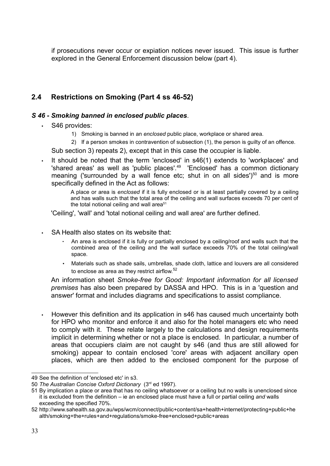if prosecutions never occur or expiation notices never issued. This issue is further explored in the General Enforcement discussion below (part 4).

## 2.4 Restrictions on Smoking (Part 4 ss 46-52)

### S 46 - Smoking banned in enclosed public places.

- S46 provides:
	- 1) Smoking is banned in an enclosed public place, workplace or shared area.
	- 2) If a person smokes in contravention of subsection (1), the person is guilty of an offence.

Sub section 3) repeats 2), except that in this case the occupier is liable.

It should be noted that the term 'enclosed' in s46(1) extends to 'workplaces' and 'shared areas' as well as 'public places'.<sup>49</sup> 'Enclosed' has a common dictionary meaning ('surrounded by a wall fence etc; shut in on all sides') $50$  and is more specifically defined in the Act as follows:

> A place or area is enclosed if it is fully enclosed or is at least partially covered by a ceiling and has walls such that the total area of the ceiling and wall surfaces exceeds 70 per cent of the total notional ceiling and wall area $51$

'Ceiling', 'wall' and 'total notional ceiling and wall area' are further defined.

- SA Health also states on its website that:
	- An area is enclosed if it is fully or partially enclosed by a ceiling/roof and walls such that the combined area of the ceiling and the wall surface exceeds 70% of the total ceiling/wall space.
	- Materials such as shade sails, umbrellas, shade cloth, lattice and louvers are all considered to enclose as area as they restrict airflow. $52$

An information sheet Smoke-free for Good: Important information for all licensed premises has also been prepared by DASSA and HPO. This is in a 'question and answer' format and includes diagrams and specifications to assist compliance.

• However this definition and its application in s46 has caused much uncertainty both for HPO who monitor and enforce it and also for the hotel managers etc who need to comply with it. These relate largely to the calculations and design requirements implicit in determining whether or not a place is enclosed. In particular, a number of areas that occupiers claim are not caught by s46 (and thus are still allowed for smoking) appear to contain enclosed 'core' areas with adjacent ancillary open places, which are then added to the enclosed component for the purpose of

<sup>49</sup> See the definition of 'enclosed etc' in s3.

<sup>50</sup> The Australian Concise Oxford Dictionary (3rd ed 1997).

<sup>51</sup> By implication a place or area that has no ceiling whatsoever or a ceiling but no walls is unenclosed since it is excluded from the definition – ie an enclosed place must have a full or partial ceiling and walls exceeding the specified 70%.

<sup>52</sup> http://www.sahealth.sa.gov.au/wps/wcm/connect/public+content/sa+health+internet/protecting+public+he alth/smoking+the+rules+and+regulations/smoke-free+enclosed+public+areas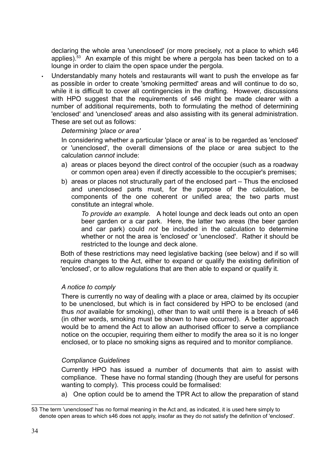declaring the whole area 'unenclosed' (or more precisely, not a place to which s46 applies). $53$  An example of this might be where a pergola has been tacked on to a lounge in order to claim the open space under the pergola.

• Understandably many hotels and restaurants will want to push the envelope as far as possible in order to create 'smoking permitted' areas and will continue to do so, while it is difficult to cover all contingencies in the drafting. However, discussions with HPO suggest that the requirements of s46 might be made clearer with a number of additional requirements, both to formulating the method of determining 'enclosed' and 'unenclosed' areas and also assisting with its general administration. These are set out as follows:

Determining 'place or area'

In considering whether a particular 'place or area' is to be regarded as 'enclosed' or 'unenclosed', the overall dimensions of the place or area subject to the calculation cannot include:

- a) areas or places beyond the direct control of the occupier (such as a roadway or common open area) even if directly accessible to the occupier's premises;
- b) areas or places not structurally part of the enclosed part Thus the enclosed and unenclosed parts must, for the purpose of the calculation, be components of the one coherent or unified area; the two parts must constitute an integral whole.

To provide an example. A hotel lounge and deck leads out onto an open beer garden or a car park. Here, the latter two areas (the beer garden and car park) could not be included in the calculation to determine whether or not the area is 'enclosed' or 'unenclosed'. Rather it should be restricted to the lounge and deck alone.

Both of these restrictions may need legislative backing (see below) and if so will require changes to the Act, either to expand or qualify the existing definition of 'enclosed', or to allow regulations that are then able to expand or qualify it.

#### A notice to comply

There is currently no way of dealing with a place or area, claimed by its occupier to be unenclosed, but which is in fact considered by HPO to be enclosed (and thus not available for smoking), other than to wait until there is a breach of s46 (in other words, smoking must be shown to have occurred). A better approach would be to amend the Act to allow an authorised officer to serve a compliance notice on the occupier, requiring them either to modify the area so it is no longer enclosed, or to place no smoking signs as required and to monitor compliance.

#### Compliance Guidelines

Currently HPO has issued a number of documents that aim to assist with compliance. These have no formal standing (though they are useful for persons wanting to comply). This process could be formalised:

a) One option could be to amend the TPR Act to allow the preparation of stand

<sup>53</sup> The term 'unenclosed' has no formal meaning in the Act and, as indicated, it is used here simply to denote open areas to which s46 does not apply, insofar as they do not satisfy the definition of 'enclosed'.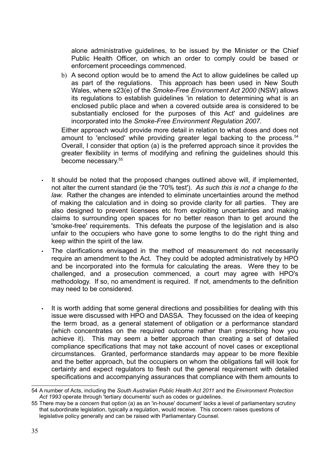alone administrative guidelines, to be issued by the Minister or the Chief Public Health Officer, on which an order to comply could be based or enforcement proceedings commenced.

b) A second option would be to amend the Act to allow guidelines be called up as part of the regulations. This approach has been used in New South Wales, where s23(e) of the Smoke-Free Environment Act 2000 (NSW) allows its regulations to establish guidelines 'in relation to determining what is an enclosed public place and when a covered outside area is considered to be substantially enclosed for the purposes of this Act' and guidelines are incorporated into the Smoke-Free Environment Regulation 2007.

Either approach would provide more detail in relation to what does and does not amount to 'enclosed' while providing greater legal backing to the process. $54$ Overall, I consider that option (a) is the preferred approach since it provides the greater flexibility in terms of modifying and refining the guidelines should this become necessary.<sup>55</sup>

- It should be noted that the proposed changes outlined above will, if implemented, not alter the current standard (ie the '70% test'). As such this is not a change to the law. Rather the changes are intended to eliminate uncertainties around the method of making the calculation and in doing so provide clarity for all parties. They are also designed to prevent licensees etc from exploiting uncertainties and making claims to surrounding open spaces for no better reason than to get around the 'smoke-free' requirements. This defeats the purpose of the legislation and is also unfair to the occupiers who have gone to some lengths to do the right thing and keep within the spirit of the law.
- The clarifications envisaged in the method of measurement do not necessarily require an amendment to the Act. They could be adopted administratively by HPO and be incorporated into the formula for calculating the areas. Were they to be challenged, and a prosecution commenced, a court may agree with HPO's methodology. If so, no amendment is required. If not, amendments to the definition may need to be considered.
- It is worth adding that some general directions and possibilities for dealing with this issue were discussed with HPO and DASSA. They focussed on the idea of keeping the term broad, as a general statement of obligation or a performance standard (which concentrates on the required outcome rather than prescribing how you achieve it). This may seem a better approach than creating a set of detailed compliance specifications that may not take account of novel cases or exceptional circumstances. Granted, performance standards may appear to be more flexible and the better approach, but the occupiers on whom the obligations fall will look for certainty and expect regulators to flesh out the general requirement with detailed specifications and accompanying assurances that compliance with them amounts to

<sup>54</sup> A number of Acts, including the South Australian Public Health Act 2011 and the Environment Protection Act 1993 operate through 'tertiary documents' such as codes or quidelines.

<sup>55</sup> There may be a concern that option (a) as an 'in-house' document' lacks a level of parliamentary scrutiny that subordinate legislation, typically a regulation, would receive. This concern raises questions of legislative policy generally and can be raised with Parliamentary Counsel.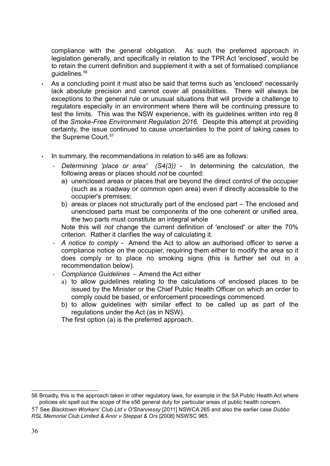compliance with the general obligation. As such the preferred approach in legislation generally, and specifically in relation to the TPR Act 'enclosed', would be to retain the current definition and supplement it with a set of formalised compliance guidelines.<sup>56</sup>

- As a concluding point it must also be said that terms such as 'enclosed' necessarily lack absolute precision and cannot cover all possibilities. There will always be exceptions to the general rule or unusual situations that will provide a challenge to regulators especially in an environment where there will be continuing pressure to test the limits. This was the NSW experience, with its guidelines written into reg 8 of the Smoke-Free Environment Regulation 2016. Despite this attempt at providing certainty, the issue continued to cause uncertainties to the point of taking cases to the Supreme Court.<sup>57</sup>
- In summary, the recommendations in relation to s46 are as follows:
	- Determining 'place or area'  $(S4(3))$  In determining the calculation, the following areas or places should not be counted:
		- a) unenclosed areas or places that are beyond the direct control of the occupier (such as a roadway or common open area) even if directly accessible to the occupier's premises;
		- b) areas or places not structurally part of the enclosed part The enclosed and unenclosed parts must be components of the one coherent or unified area, the two parts must constitute an integral whole

Note this will not change the current definition of 'enclosed' or alter the 70% criterion. Rather it clarifies the way of calculating it.

- A notice to comply Amend the Act to allow an authorised officer to serve a compliance notice on the occupier, requiring them either to modify the area so it does comply or to place no smoking signs (this is further set out in a recommendation below).
- Compliance Guidelines Amend the Act either
	- a) to allow guidelines relating to the calculations of enclosed places to be issued by the Minister or the Chief Public Health Officer on which an order to comply could be based, or enforcement proceedings commenced.
	- b) to allow guidelines with similar effect to be called up as part of the regulations under the Act (as in NSW).

The first option (a) is the preferred approach.

<sup>56</sup> Broadly, this is the approach taken in other regulatory laws, for example in the SA Public Health Act where policies etc spell out the scope of the s56 general duty for particular areas of public health concern.

<sup>57</sup> See Blacktown Workers' Club Ltd v O'Shannessy [2011] NSWCA 265 and also the earlier case Dubbo RSL Memorial Club Limited & Anor v Steppat & Ors [2008] NSWSC 965.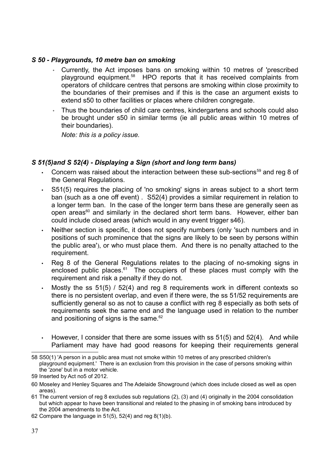### S 50 - Playgrounds, 10 metre ban on smoking

- Currently, the Act imposes bans on smoking within 10 metres of 'prescribed playground equipment.58 HPO reports that it has received complaints from operators of childcare centres that persons are smoking within close proximity to the boundaries of their premises and if this is the case an argument exists to extend s50 to other facilities or places where children congregate.
- Thus the boundaries of child care centres, kindergartens and schools could also be brought under s50 in similar terms (ie all public areas within 10 metres of their boundaries).

Note: this is a policy issue.

### S 51(5)and S 52(4) - Displaying a Sign (short and long term bans)

- Concern was raised about the interaction between these sub-sections $59$  and reg 8 of the General Regulations.
- S51(5) requires the placing of 'no smoking' signs in areas subject to a short term ban (such as a one off event) . S52(4) provides a similar requirement in relation to a longer term ban. In the case of the longer term bans these are generally seen as open areas $60$  and similarly in the declared short term bans. However, either ban could include closed areas (which would in any event trigger s46).
- Neither section is specific, it does not specify numbers (only 'such numbers and in positions of such prominence that the signs are likely to be seen by persons within the public area'), or who must place them. And there is no penalty attached to the requirement.
- Reg 8 of the General Regulations relates to the placing of no-smoking signs in enclosed public places. $61$  The occupiers of these places must comply with the requirement and risk a penalty if they do not.
- Mostly the ss 51(5) / 52(4) and reg 8 requirements work in different contexts so there is no persistent overlap, and even if there were, the ss 51/52 requirements are sufficiently general so as not to cause a conflict with reg 8 especially as both sets of requirements seek the same end and the language used in relation to the number and positioning of signs is the same. $62$
- However, I consider that there are some issues with ss  $51(5)$  and  $52(4)$ . And while Parliament may have had good reasons for keeping their requirements general

<sup>58</sup> S50(1) 'A person in a public area must not smoke within 10 metres of any prescribed children's playground equipment.' There is an exclusion from this provision in the case of persons smoking within the 'zone' but in a motor vehicle.

<sup>59</sup> Inserted by Act no5 of 2012.

<sup>60</sup> Moseley and Henley Squares and The Adelaide Showground (which does include closed as well as open areas).

<sup>61</sup> The current version of reg 8 excludes sub regulations (2), (3) and (4) originally in the 2004 consolidation but which appear to have been transitional and related to the phasing in of smoking bans introduced by the 2004 amendments to the Act.

<sup>62</sup> Compare the language in  $51(5)$ ,  $52(4)$  and reg  $8(1)(b)$ .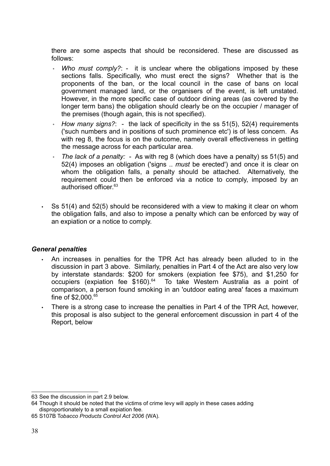there are some aspects that should be reconsidered. These are discussed as follows:

- Who must comply?: it is unclear where the obligations imposed by these sections falls. Specifically, who must erect the signs? Whether that is the proponents of the ban, or the local council in the case of bans on local government managed land, or the organisers of the event, is left unstated. However, in the more specific case of outdoor dining areas (as covered by the longer term bans) the obligation should clearly be on the occupier / manager of the premises (though again, this is not specified).
- How many signs?: the lack of specificity in the ss  $51(5)$ ,  $52(4)$  requirements ('such numbers and in positions of such prominence etc') is of less concern. As with reg 8, the focus is on the outcome, namely overall effectiveness in getting the message across for each particular area.
- The lack of a penalty: As with reg 8 (which does have a penalty) ss  $51(5)$  and 52(4) imposes an obligation ('signs .. must be erected') and once it is clear on whom the obligation falls, a penalty should be attached. Alternatively, the requirement could then be enforced via a notice to comply, imposed by an authorised officer.<sup>63</sup>
- Ss 51(4) and 52(5) should be reconsidered with a view to making it clear on whom the obligation falls, and also to impose a penalty which can be enforced by way of an expiation or a notice to comply.

#### General penalties

- An increases in penalties for the TPR Act has already been alluded to in the discussion in part 3 above. Similarly, penalties in Part 4 of the Act are also very low by interstate standards: \$200 for smokers (expiation fee \$75), and \$1,250 for occupiers (expiation fee  $$160$ ).<sup>64</sup> To take Western Australia as a point of comparison, a person found smoking in an 'outdoor eating area' faces a maximum fine of \$2,000.<sup>65</sup>
- There is a strong case to increase the penalties in Part 4 of the TPR Act, however, this proposal is also subject to the general enforcement discussion in part 4 of the Report, below

<sup>63</sup> See the discussion in part 2.9 below.

<sup>64</sup> Though it should be noted that the victims of crime levy will apply in these cases adding disproportionately to a small expiation fee.

<sup>65</sup> S107B Tobacco Products Control Act 2006 (WA).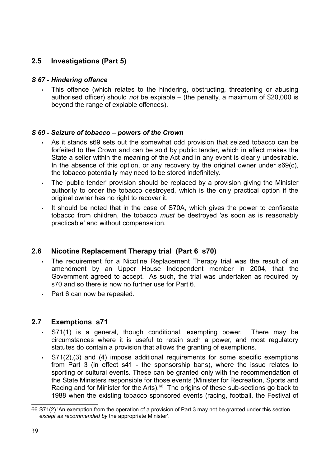## 2.5 Investigations (Part 5)

### S 67 - Hindering offence

• This offence (which relates to the hindering, obstructing, threatening or abusing authorised officer) should not be expiable – (the penalty, a maximum of \$20,000 is beyond the range of expiable offences).

### S 69 - Seizure of tobacco – powers of the Crown

- As it stands s69 sets out the somewhat odd provision that seized tobacco can be forfeited to the Crown and can be sold by public tender, which in effect makes the State a seller within the meaning of the Act and in any event is clearly undesirable. In the absence of this option, or any recovery by the original owner under s69(c), the tobacco potentially may need to be stored indefinitely.
- The 'public tender' provision should be replaced by a provision giving the Minister authority to order the tobacco destroyed, which is the only practical option if the original owner has no right to recover it.
- It should be noted that in the case of S70A, which gives the power to confiscate tobacco from children, the tobacco must be destroyed 'as soon as is reasonably practicable' and without compensation.

## 2.6 Nicotine Replacement Therapy trial (Part 6 s70)

- The requirement for a Nicotine Replacement Therapy trial was the result of an amendment by an Upper House Independent member in 2004, that the Government agreed to accept. As such, the trial was undertaken as required by s70 and so there is now no further use for Part 6.
- Part 6 can now be repealed.

## 2.7 Exemptions s71

- S71(1) is a general, though conditional, exempting power. There may be circumstances where it is useful to retain such a power, and most regulatory statutes do contain a provision that allows the granting of exemptions.
- S71(2),(3) and (4) impose additional requirements for some specific exemptions from Part 3 (in effect s41 - the sponsorship bans), where the issue relates to sporting or cultural events. These can be granted only with the recommendation of the State Ministers responsible for those events (Minister for Recreation, Sports and Racing and for Minister for the Arts). $66$  The origins of these sub-sections go back to 1988 when the existing tobacco sponsored events (racing, football, the Festival of

<sup>66</sup> S71(2) 'An exemption from the operation of a provision of Part 3 may not be granted under this section except as recommended by the appropriate Minister'.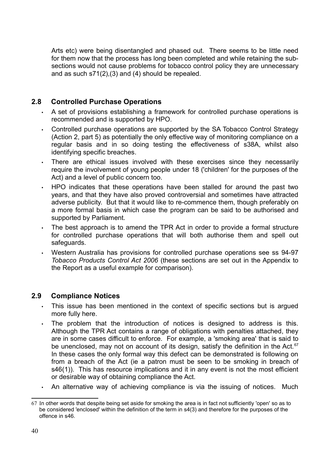Arts etc) were being disentangled and phased out. There seems to be little need for them now that the process has long been completed and while retaining the subsections would not cause problems for tobacco control policy they are unnecessary and as such s71(2),(3) and (4) should be repealed.

## 2.8 Controlled Purchase Operations

- A set of provisions establishing a framework for controlled purchase operations is recommended and is supported by HPO.
- Controlled purchase operations are supported by the SA Tobacco Control Strategy (Action 2, part 5) as potentially the only effective way of monitoring compliance on a regular basis and in so doing testing the effectiveness of s38A, whilst also identifying specific breaches.
- There are ethical issues involved with these exercises since they necessarily require the involvement of young people under 18 ('children' for the purposes of the Act) and a level of public concern too.
- HPO indicates that these operations have been stalled for around the past two years, and that they have also proved controversial and sometimes have attracted adverse publicity. But that it would like to re-commence them, though preferably on a more formal basis in which case the program can be said to be authorised and supported by Parliament.
- The best approach is to amend the TPR Act in order to provide a formal structure for controlled purchase operations that will both authorise them and spell out safeguards.
- Western Australia has provisions for controlled purchase operations see ss 94-97 Tobacco Products Control Act 2006 (these sections are set out in the Appendix to the Report as a useful example for comparison).

## 2.9 Compliance Notices

- This issue has been mentioned in the context of specific sections but is argued more fully here.
- The problem that the introduction of notices is designed to address is this. Although the TPR Act contains a range of obligations with penalties attached, they are in some cases difficult to enforce. For example, a 'smoking area' that is said to be unenclosed, may not on account of its design, satisfy the definition in the Act. $67$ In these cases the only formal way this defect can be demonstrated is following on from a breach of the Act (ie a patron must be seen to be smoking in breach of s46(1)). This has resource implications and it in any event is not the most efficient or desirable way of obtaining compliance the Act.
- An alternative way of achieving compliance is via the issuing of notices. Much

<sup>67</sup> In other words that despite being set aside for smoking the area is in fact not sufficiently 'open' so as to be considered 'enclosed' within the definition of the term in s4(3) and therefore for the purposes of the offence in s46.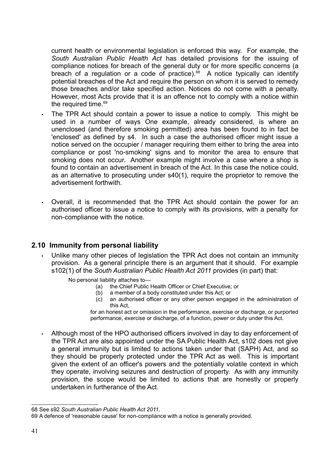current health or environmental legislation is enforced this way. For example, the South Australian Public Health Act has detailed provisions for the issuing of compliance notices for breach of the general duty or for more specific concerns (a breach of a regulation or a code of practice).<sup>68</sup> A notice typically can identify potential breaches of the Act and require the person on whom it is served to remedy those breaches and/or take specified action. Notices do not come with a penalty. However, most Acts provide that it is an offence not to comply with a notice within the required time. $^\mathrm{69}$ 

- The TPR Act should contain a power to issue a notice to comply. This might be used in a number of ways One example, already considered, is where an unenclosed (and therefore smoking permitted) area has been found to in fact be 'enclosed' as defined by s4. In such a case the authorised officer might issue a notice served on the occupier / manager requiring them either to bring the area into compliance or post 'no-smoking' signs and to monitor the area to ensure that smoking does not occur. Another example might involve a case where a shop is found to contain an advertisement in breach of the Act. In this case the notice could, as an alternative to prosecuting under s40(1), require the proprietor to remove the advertisement forthwith.
- Overall, it is recommended that the TPR Act should contain the power for an authorised officer to issue a notice to comply with its provisions, with a penalty for non-compliance with the notice.

## 2.10 Immunity from personal liability

- Unlike many other pieces of legislation the TPR Act does not contain an immunity provision. As a general principle there is an argument that it should. For example s102(1) of the South Australian Public Health Act 2011 provides (in part) that:
	- No personal liability attaches to—
		- (a) the Chief Public Health Officer or Chief Executive; or
		- (b) a member of a body constituted under this Act; or
		- (c) an authorised officer or any other person engaged in the administration of this Act,

for an honest act or omission in the performance, exercise or discharge, or purported performance, exercise or discharge, of a function, power or duty under this Act.

• Although most of the HPO authorised officers involved in day to day enforcement of the TPR Act are also appointed under the SA Public Health Act, s102 does not give a general immunity but is limited to actions taken under that (SAPH) Act, and so they should be properly protected under the TPR Act as well. This is important given the extent of an officer's powers and the potentially volatile context in which they operate, involving seizures and destruction of property. As with any immunity provision, the scope would be limited to actions that are honestly or properly undertaken in furtherance of the Act.

<sup>68</sup> See s92 South Australian Public Health Act 2011.

<sup>69</sup> A defence of 'reasonable cause' for non-compliance with a notice is generally provided.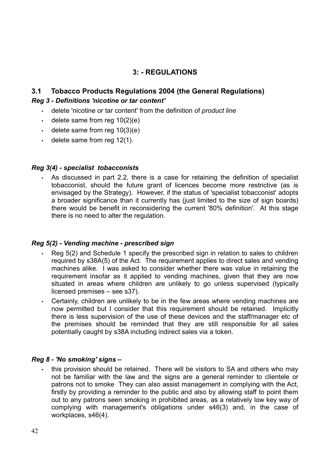## 3: - REGULATIONS

## 3.1 Tobacco Products Regulations 2004 (the General Regulations) Reg 3 - Definitions 'nicotine or tar content'

- delete 'nicotine or tar content' from the definition of *product line*
- $\cdot$  delete same from reg 10(2)(e)
- $\cdot$  delete same from reg 10(3)(e)
- $\cdot$  delete same from reg 12(1).

#### Reg 3(4) - specialist tobacconists

• As discussed in part 2.2, there is a case for retaining the definition of specialist tobacconist, should the future grant of licences become more restrictive (as is envisaged by the Strategy). However, if the status of 'specialist tobacconist' adopts a broader significance than it currently has (just limited to the size of sign boards) there would be benefit in reconsidering the current '80% definition'. At this stage there is no need to alter the regulation.

#### Reg 5(2) - Vending machine - prescribed sign

- Reg 5(2) and Schedule 1 specify the prescribed sign in relation to sales to children required by s38A(5) of the Act. The requirement applies to direct sales and vending machines alike. I was asked to consider whether there was value in retaining the requirement insofar as it applied to vending machines, given that they are now situated in areas where children are unlikely to go unless supervised (typically licensed premises – see s37).
- Certainly, children are unlikely to be in the few areas where vending machines are now permitted but I consider that this requirement should be retained. Implicitly there is less supervision of the use of these devices and the staff/manager etc of the premises should be reminded that they are still responsible for all sales potentially caught by s38A including indirect sales via a token.

#### Reg 8 - 'No smoking' signs –

• this provision should be retained. There will be visitors to SA and others who may not be familiar with the law and the signs are a general reminder to clientele or patrons not to smoke They can also assist management in complying with the Act, firstly by providing a reminder to the public and also by allowing staff to point them out to any patrons seen smoking in prohibited areas, as a relatively low key way of complying with management's obligations under s46(3) and, in the case of workplaces, s46(4).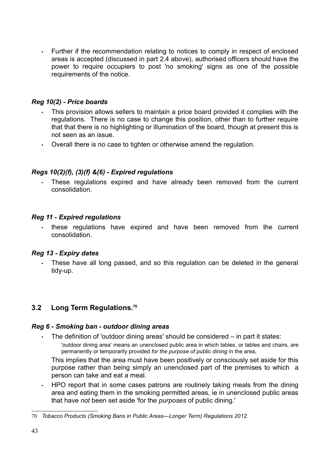• Further if the recommendation relating to notices to comply in respect of enclosed areas is accepted (discussed in part 2.4 above), authorised officers should have the power to require occupiers to post 'no smoking' signs as one of the possible requirements of the notice.

### Reg 10(2) - Price boards

- This provision allows sellers to maintain a price board provided it complies with the regulations. There is no case to change this position, other than to further require that that there is no highlighting or illumination of the board, though at present this is not seen as an issue.
- Overall there is no case to tighten or otherwise amend the regulation.

### Regs 10(2)(f), (3)(f) &(6) - Expired regulations

These regulations expired and have already been removed from the current consolidation.

#### Reg 11 - Expired regulations

• these regulations have expired and have been removed from the current consolidation.

### Reg 13 - Expiry dates

These have all long passed, and so this regulation can be deleted in the general tidy-up.

## 3.2 Long Term Regulations.<sup>70</sup>

#### Reg 6 - Smoking ban - outdoor dining areas

• The definition of 'outdoor dining areas' should be considered – in part it states:

'outdoor dining area' means an unenclosed public area in which tables, or tables and chairs, are permanently or temporarily provided for the purpose of public dining in the area,

This implies that the area must have been positively or consciously set aside for this purpose rather than being simply an unenclosed part of the premises to which a person can take and eat a meal.

• HPO report that in some cases patrons are routinely taking meals from the dining area and eating them in the smoking permitted areas, ie in unenclosed public areas that have not been set aside 'for the *purposes* of public dining.'

<sup>70</sup> Tobacco Products (Smoking Bans in Public Areas—Longer Term) Regulations 2012.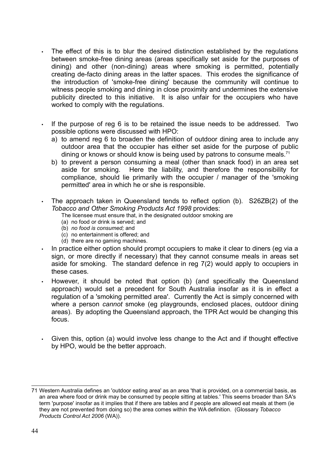- The effect of this is to blur the desired distinction established by the regulations between smoke-free dining areas (areas specifically set aside for the purposes of dining) and other (non-dining) areas where smoking is permitted, potentially creating de-facto dining areas in the latter spaces. This erodes the significance of the introduction of 'smoke-free dining' because the community will continue to witness people smoking and dining in close proximity and undermines the extensive publicity directed to this initiative. It is also unfair for the occupiers who have worked to comply with the regulations.
- If the purpose of reg 6 is to be retained the issue needs to be addressed. Two possible options were discussed with HPO:
	- a) to amend reg 6 to broaden the definition of outdoor dining area to include any outdoor area that the occupier has either set aside for the purpose of public dining or knows or should know is being used by patrons to consume meals.<sup>71</sup>
	- b) to prevent a person consuming a meal (other than snack food) in an area set aside for smoking. Here the liability, and therefore the responsibility for compliance, should lie primarily with the occupier / manager of the 'smoking permitted' area in which he or she is responsible.
- The approach taken in Queensland tends to reflect option (b). S26ZB(2) of the Tobacco and Other Smoking Products Act 1998 provides:

The licensee must ensure that, in the designated outdoor smoking are

- (a) no food or drink is served; and
- (b) no food is consumed; and
- (c) no entertainment is offered; and
- (d) there are no gaming machines.
- In practice either option should prompt occupiers to make it clear to diners (eg via a sign, or more directly if necessary) that they cannot consume meals in areas set aside for smoking. The standard defence in reg 7(2) would apply to occupiers in these cases.
- However, it should be noted that option (b) (and specifically the Queensland approach) would set a precedent for South Australia insofar as it is in effect a regulation of a 'smoking permitted area'. Currently the Act is simply concerned with where a person cannot smoke (eg playgrounds, enclosed places, outdoor dining areas). By adopting the Queensland approach, the TPR Act would be changing this focus.
- Given this, option (a) would involve less change to the Act and if thought effective by HPO, would be the better approach.

<sup>71</sup> Western Australia defines an 'outdoor eating area' as an area 'that is provided, on a commercial basis, as an area where food or drink may be consumed by people sitting at tables.' This seems broader than SA's term 'purpose' insofar as it implies that if there are tables and if people are allowed eat meals at them (ie they are not prevented from doing so) the area comes within the WA definition. (Glossary Tobacco Products Control Act 2006 (WA)).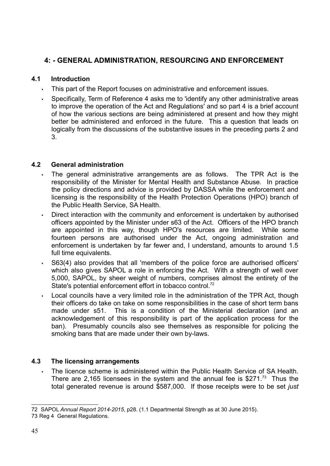## 4: - GENERAL ADMINISTRATION, RESOURCING AND ENFORCEMENT

### 4.1 Introduction

- This part of the Report focuses on administrative and enforcement issues.
- Specifically, Term of Reference 4 asks me to 'identify any other administrative areas to improve the operation of the Act and Regulations' and so part 4 is a brief account of how the various sections are being administered at present and how they might better be administered and enforced in the future. This a question that leads on logically from the discussions of the substantive issues in the preceding parts 2 and 3.

### 4.2 General administration

- The general administrative arrangements are as follows. The TPR Act is the responsibility of the Minister for Mental Health and Substance Abuse. In practice the policy directions and advice is provided by DASSA while the enforcement and licensing is the responsibility of the Health Protection Operations (HPO) branch of the Public Health Service, SA Health.
- Direct interaction with the community and enforcement is undertaken by authorised officers appointed by the Minister under s63 of the Act. Officers of the HPO branch are appointed in this way, though HPO's resources are limited. While some fourteen persons are authorised under the Act, ongoing administration and enforcement is undertaken by far fewer and, I understand, amounts to around 1.5 full time equivalents.
- S63(4) also provides that all 'members of the police force are authorised officers' which also gives SAPOL a role in enforcing the Act. With a strength of well over 5,000, SAPOL, by sheer weight of numbers, comprises almost the entirety of the State's potential enforcement effort in tobacco control.<sup>72</sup>
- Local councils have a very limited role in the administration of the TPR Act, though their officers do take on take on some responsibilities in the case of short term bans made under s51. This is a condition of the Ministerial declaration (and an acknowledgement of this responsibility is part of the application process for the ban). Presumably councils also see themselves as responsible for policing the smoking bans that are made under their own by-laws.

## 4.3 The licensing arrangements

The licence scheme is administered within the Public Health Service of SA Health. There are 2,165 licensees in the system and the annual fee is \$271.<sup>73</sup> Thus the total generated revenue is around \$587,000. If those receipts were to be set just

<sup>72</sup> SAPOL Annual Report 2014-2015, p28. (1.1 Departmental Strength as at 30 June 2015).

<sup>73</sup> Reg 4 General Regulations.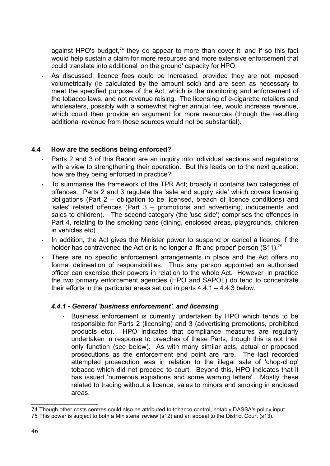against HPO's budget, $74$  they do appear to more than cover it, and if so this fact would help sustain a claim for more resources and more extensive enforcement that could translate into additional 'on the ground' capacity for HPO.

• As discussed, licence fees could be increased, provided they are not imposed volumetrically (ie calculated by the amount sold) and are seen as necessary to meet the specified purpose of the Act, which is the monitoring and enforcement of the tobacco laws, and not revenue raising. The licensing of e-cigarette retailers and wholesalers, possibly with a somewhat higher annual fee, would increase revenue, which could then provide an argument for more resources (though the resulting additional revenue from these sources would not be substantial).

#### 4.4 How are the sections being enforced?

- Parts 2 and 3 of this Report are an inquiry into individual sections and regulations with a view to strengthening their operation. But this leads on to the next question: how are they being enforced in practice?
- To summarise the framework of the TPR Act; broadly it contains two categories of offences. Parts 2 and 3 regulate the 'sale and supply side' which covers licensing obligations (Part 2 – obligation to be licensed, breach of licence conditions) and 'sales' related offences (Part 3 – promotions and advertising, inducements and sales to children). The second category (the 'use side') comprises the offences in Part 4, relating to the smoking bans (dining, enclosed areas, playgrounds, children in vehicles etc).
- In addition, the Act gives the Minister power to suspend or cancel a licence if the holder has contravened the Act or is no longer a 'fit and proper' person (S11).<sup>75</sup>
- There are no specific enforcement arrangements in place and the Act offers no formal delineation of responsibilities. Thus any person appointed an authorised officer can exercise their powers in relation to the whole Act. However, in practice the two primary enforcement agencies (HPO and SAPOL) do tend to concentrate their efforts in the particular areas set out in parts 4.4.1 – 4.4.3 below.

### 4.4.1 - General 'business enforcement'. and licensing

Business enforcement is currently undertaken by HPO which tends to be responsible for Parts 2 (licensing) and 3 (advertising promotions, prohibited products etc). HPO indicates that compliance measures are regularly undertaken in response to breaches of these Parts, though this is not their only function (see below). As with many similar acts, actual or proposed prosecutions as the enforcement end point are rare. The last recorded attempted prosecution was in relation to the illegal sale of 'chop-chop' tobacco which did not proceed to court. Beyond this, HPO indicates that it has issued 'numerous expiations and some warning letters'. Mostly these related to trading without a licence, sales to minors and smoking in enclosed areas.

<sup>74</sup> Though other costs centres could also be attributed to tobacco control, notably DASSA's policy input.

<sup>75</sup> This power is subject to both a Ministerial review (s12) and an appeal to the District Court (s13).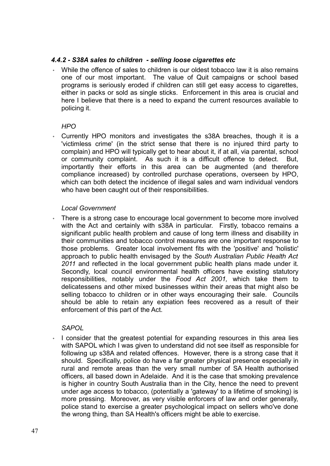#### 4.4.2 - S38A sales to children - selling loose cigarettes etc

◦ While the offence of sales to children is our oldest tobacco law it is also remains one of our most important. The value of Quit campaigns or school based programs is seriously eroded if children can still get easy access to cigarettes, either in packs or sold as single sticks. Enforcement in this area is crucial and here I believe that there is a need to expand the current resources available to policing it.

#### $HPO$

Currently HPO monitors and investigates the s38A breaches, though it is a 'victimless crime' (in the strict sense that there is no injured third party to complain) and HPO will typically get to hear about it, if at all, via parental, school or community complaint. As such it is a difficult offence to detect. But, importantly their efforts in this area can be augmented (and therefore compliance increased) by controlled purchase operations, overseen by HPO, which can both detect the incidence of illegal sales and warn individual vendors who have been caught out of their responsibilities.

#### Local Government

There is a strong case to encourage local government to become more involved with the Act and certainly with s38A in particular. Firstly, tobacco remains a significant public health problem and cause of long term illness and disability in their communities and tobacco control measures are one important response to those problems. Greater local involvement fits with the 'positive' and 'holistic' approach to public health envisaged by the South Australian Public Health Act 2011 and reflected in the local government public health plans made under it. Secondly, local council environmental health officers have existing statutory responsibilities, notably under the Food Act 2001, which take them to delicatessens and other mixed businesses within their areas that might also be selling tobacco to children or in other ways encouraging their sale. Councils should be able to retain any expiation fees recovered as a result of their enforcement of this part of the Act.

### **SAPOL**

I consider that the greatest potential for expanding resources in this area lies with SAPOL which I was given to understand did not see itself as responsible for following up s38A and related offences. However, there is a strong case that it should. Specifically, police do have a far greater physical presence especially in rural and remote areas than the very small number of SA Health authorised officers, all based down in Adelaide. And it is the case that smoking prevalence is higher in country South Australia than in the City, hence the need to prevent under age access to tobacco, (potentially a 'gateway' to a lifetime of smoking) is more pressing. Moreover, as very visible enforcers of law and order generally, police stand to exercise a greater psychological impact on sellers who've done the wrong thing, than SA Health's officers might be able to exercise.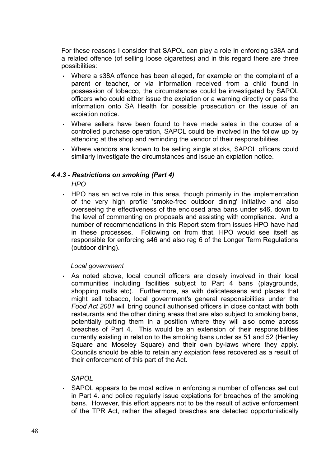For these reasons I consider that SAPOL can play a role in enforcing s38A and a related offence (of selling loose cigarettes) and in this regard there are three possibilities:

- Where a s38A offence has been alleged, for example on the complaint of a parent or teacher, or via information received from a child found in possession of tobacco, the circumstances could be investigated by SAPOL officers who could either issue the expiation or a warning directly or pass the information onto SA Health for possible prosecution or the issue of an expiation notice.
- Where sellers have been found to have made sales in the course of a controlled purchase operation, SAPOL could be involved in the follow up by attending at the shop and reminding the vendor of their responsibilities.
- Where vendors are known to be selling single sticks, SAPOL officers could similarly investigate the circumstances and issue an expiation notice.

### 4.4.3 - Restrictions on smoking (Part 4)

**HPO** 

• HPO has an active role in this area, though primarily in the implementation of the very high profile 'smoke-free outdoor dining' initiative and also overseeing the effectiveness of the enclosed area bans under s46, down to the level of commenting on proposals and assisting with compliance. And a number of recommendations in this Report stem from issues HPO have had in these processes. Following on from that, HPO would see itself as responsible for enforcing s46 and also reg 6 of the Longer Term Regulations (outdoor dining).

#### Local government

. As noted above, local council officers are closely involved in their local communities including facilities subject to Part 4 bans (playgrounds, shopping malls etc). Furthermore, as with delicatessens and places that might sell tobacco, local government's general responsibilities under the Food Act 2001 will bring council authorised officers in close contact with both restaurants and the other dining areas that are also subject to smoking bans, potentially putting them in a position where they will also come across breaches of Part 4. This would be an extension of their responsibilities currently existing in relation to the smoking bans under ss 51 and 52 (Henley Square and Moseley Square) and their own by-laws where they apply. Councils should be able to retain any expiation fees recovered as a result of their enforcement of this part of the Act.

#### **SAPOL**

▪ SAPOL appears to be most active in enforcing a number of offences set out in Part 4. and police regularly issue expiations for breaches of the smoking bans. However, this effort appears not to be the result of active enforcement of the TPR Act, rather the alleged breaches are detected opportunistically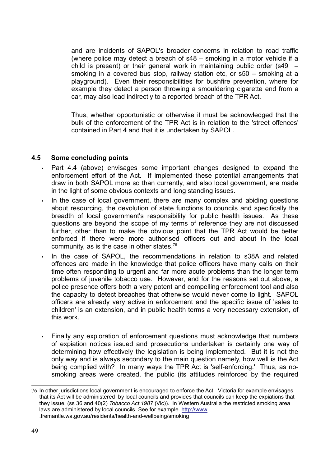and are incidents of SAPOL's broader concerns in relation to road traffic (where police may detect a breach of s48 – smoking in a motor vehicle if a child is present) or their general work in maintaining public order (s49  $$ smoking in a covered bus stop, railway station etc, or s50 – smoking at a playground). Even their responsibilities for bushfire prevention, where for example they detect a person throwing a smouldering cigarette end from a car, may also lead indirectly to a reported breach of the TPR Act.

Thus, whether opportunistic or otherwise it must be acknowledged that the bulk of the enforcement of the TPR Act is in relation to the 'street offences' contained in Part 4 and that it is undertaken by SAPOL.

#### 4.5 Some concluding points

- Part 4.4 (above) envisages some important changes designed to expand the enforcement effort of the Act. If implemented these potential arrangements that draw in both SAPOL more so than currently, and also local government, are made in the light of some obvious contexts and long standing issues.
- In the case of local government, there are many complex and abiding questions about resourcing, the devolution of state functions to councils and specifically the breadth of local government's responsibility for public health issues. As these questions are beyond the scope of my terms of reference they are not discussed further, other than to make the obvious point that the TPR Act would be better enforced if there were more authorised officers out and about in the local community, as is the case in other states.<sup>76</sup>
- In the case of SAPOL, the recommendations in relation to s38A and related offences are made in the knowledge that police officers have many calls on their time often responding to urgent and far more acute problems than the longer term problems of juvenile tobacco use. However, and for the reasons set out above, a police presence offers both a very potent and compelling enforcement tool and also the capacity to detect breaches that otherwise would never come to light. SAPOL officers are already very active in enforcement and the specific issue of 'sales to children' is an extension, and in public health terms a very necessary extension, of this work.
- Finally any exploration of enforcement questions must acknowledge that numbers of expiation notices issued and prosecutions undertaken is certainly one way of determining how effectively the legislation is being implemented. But it is not the only way and is always secondary to the main question namely, how well is the Act being complied with? In many ways the TPR Act is 'self-enforcing.' Thus, as nosmoking areas were created, the public (its attitudes reinforced by the required

<sup>76</sup> In other jurisdictions local government is encouraged to enforce the Act. Victoria for example envisages that its Act will be administered by local councils and provides that councils can keep the expiations that they issue. (ss 36 and 40(2) Tobacco Act 1987 (Vic)). In Western Australia the restricted smoking area laws are administered by local councils. See for example http://www .fremantle.wa.gov.au/residents/health-and-wellbeing/smoking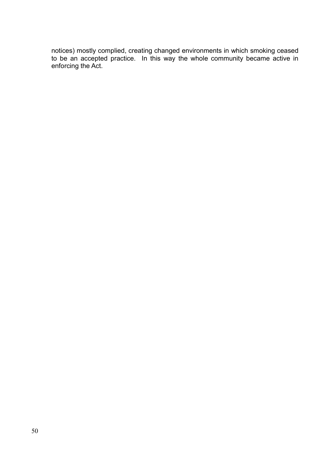notices) mostly complied, creating changed environments in which smoking ceased to be an accepted practice. In this way the whole community became active in enforcing the Act.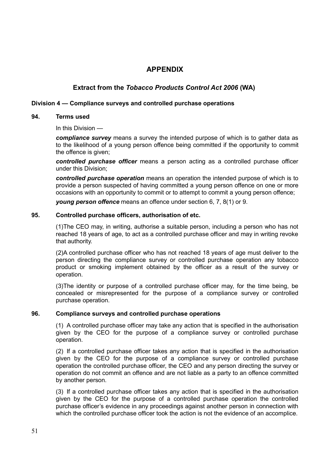### APPENDIX

#### Extract from the Tobacco Products Control Act 2006 (WA)

#### Division 4 — Compliance surveys and controlled purchase operations

#### 94. Terms used

In this Division —

compliance survey means a survey the intended purpose of which is to gather data as to the likelihood of a young person offence being committed if the opportunity to commit the offence is given;

controlled purchase officer means a person acting as a controlled purchase officer under this Division;

controlled purchase operation means an operation the intended purpose of which is to provide a person suspected of having committed a young person offence on one or more occasions with an opportunity to commit or to attempt to commit a young person offence;

young person offence means an offence under section 6, 7, 8(1) or 9.

#### 95. Controlled purchase officers, authorisation of etc.

(1)The CEO may, in writing, authorise a suitable person, including a person who has not reached 18 years of age, to act as a controlled purchase officer and may in writing revoke that authority.

(2)A controlled purchase officer who has not reached 18 years of age must deliver to the person directing the compliance survey or controlled purchase operation any tobacco product or smoking implement obtained by the officer as a result of the survey or operation.

(3)The identity or purpose of a controlled purchase officer may, for the time being, be concealed or misrepresented for the purpose of a compliance survey or controlled purchase operation.

#### 96. Compliance surveys and controlled purchase operations

(1) A controlled purchase officer may take any action that is specified in the authorisation given by the CEO for the purpose of a compliance survey or controlled purchase operation.

(2) If a controlled purchase officer takes any action that is specified in the authorisation given by the CEO for the purpose of a compliance survey or controlled purchase operation the controlled purchase officer, the CEO and any person directing the survey or operation do not commit an offence and are not liable as a party to an offence committed by another person.

(3) If a controlled purchase officer takes any action that is specified in the authorisation given by the CEO for the purpose of a controlled purchase operation the controlled purchase officer's evidence in any proceedings against another person in connection with which the controlled purchase officer took the action is not the evidence of an accomplice.